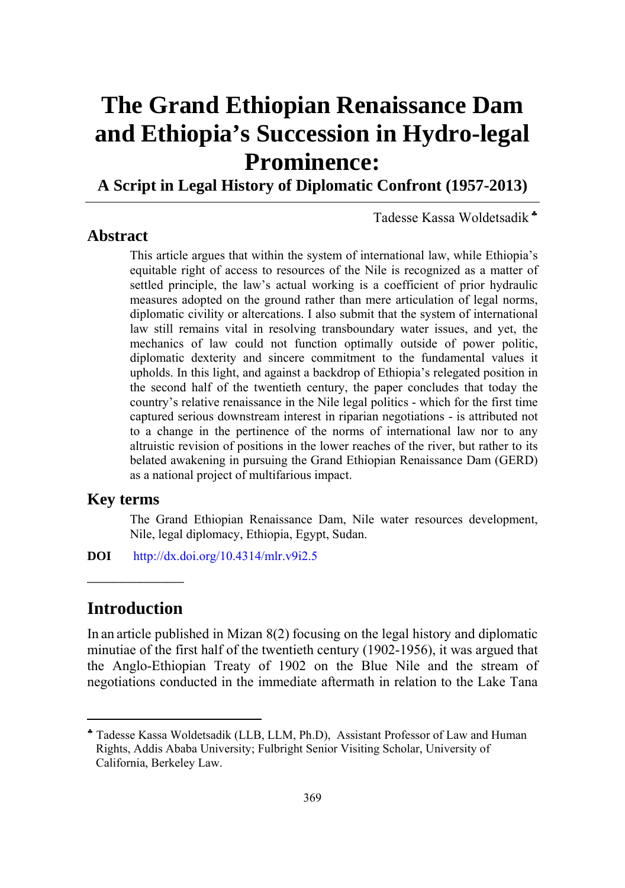# **The Grand Ethiopian Renaissance Dam and Ethiopia's Succession in Hydro-legal Prominence:**

**A Script in Legal History of Diplomatic Confront (1957-2013)**

#### **Abstract**

Tadesse Kassa Woldetsadik

This article argues that within the system of international law, while Ethiopia's equitable right of access to resources of the Nile is recognized as a matter of settled principle, the law's actual working is a coefficient of prior hydraulic measures adopted on the ground rather than mere articulation of legal norms, diplomatic civility or altercations. I also submit that the system of international law still remains vital in resolving transboundary water issues, and yet, the mechanics of law could not function optimally outside of power politic, diplomatic dexterity and sincere commitment to the fundamental values it upholds. In this light, and against a backdrop of Ethiopia's relegated position in the second half of the twentieth century, the paper concludes that today the country's relative renaissance in the Nile legal politics - which for the first time captured serious downstream interest in riparian negotiations - is attributed not to a change in the pertinence of the norms of international law nor to any altruistic revision of positions in the lower reaches of the river, but rather to its belated awakening in pursuing the Grand Ethiopian Renaissance Dam (GERD) as a national project of multifarious impact.

#### **Key terms**

The Grand Ethiopian Renaissance Dam, Nile water resources development, Nile, legal diplomacy, Ethiopia, Egypt, Sudan.

**DOI** http://dx.doi.org/10.4314/mlr.v9i2.5

### **Introduction**

<u>.</u>

 $\mathcal{L}_\text{max}$ 

In an article published in Mizan 8(2) focusing on the legal history and diplomatic minutiae of the first half of the twentieth century (1902-1956), it was argued that the Anglo-Ethiopian Treaty of 1902 on the Blue Nile and the stream of negotiations conducted in the immediate aftermath in relation to the Lake Tana

Tadesse Kassa Woldetsadik (LLB, LLM, Ph.D), Assistant Professor of Law and Human Rights, Addis Ababa University; Fulbright Senior Visiting Scholar, University of California, Berkeley Law.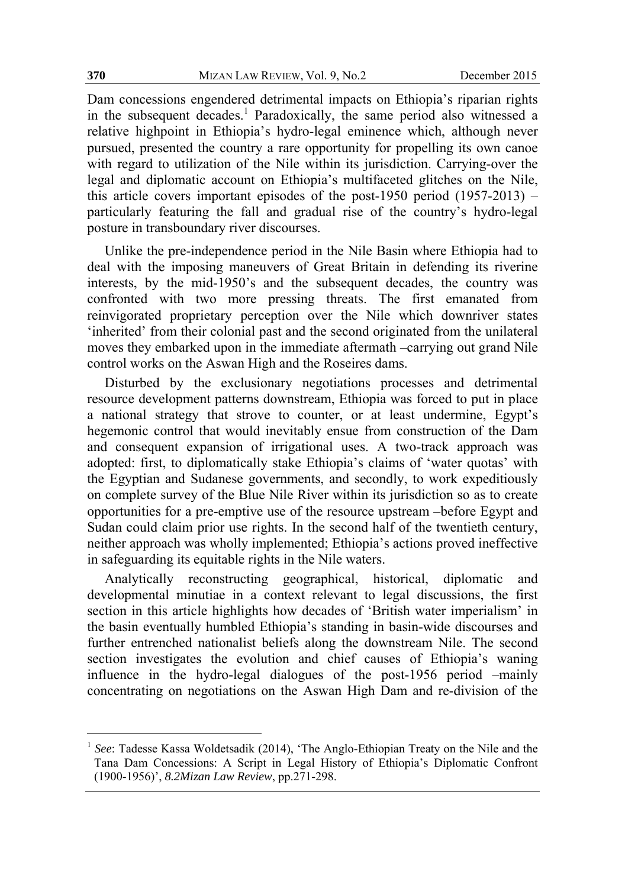Dam concessions engendered detrimental impacts on Ethiopia's riparian rights in the subsequent decades.<sup>1</sup> Paradoxically, the same period also witnessed a relative highpoint in Ethiopia's hydro-legal eminence which, although never pursued, presented the country a rare opportunity for propelling its own canoe with regard to utilization of the Nile within its jurisdiction. Carrying-over the legal and diplomatic account on Ethiopia's multifaceted glitches on the Nile, this article covers important episodes of the post-1950 period  $(1957-2013)$  – particularly featuring the fall and gradual rise of the country's hydro-legal posture in transboundary river discourses.

Unlike the pre-independence period in the Nile Basin where Ethiopia had to deal with the imposing maneuvers of Great Britain in defending its riverine interests, by the mid-1950's and the subsequent decades, the country was confronted with two more pressing threats. The first emanated from reinvigorated proprietary perception over the Nile which downriver states 'inherited' from their colonial past and the second originated from the unilateral moves they embarked upon in the immediate aftermath –carrying out grand Nile control works on the Aswan High and the Roseires dams.

Disturbed by the exclusionary negotiations processes and detrimental resource development patterns downstream, Ethiopia was forced to put in place a national strategy that strove to counter, or at least undermine, Egypt's hegemonic control that would inevitably ensue from construction of the Dam and consequent expansion of irrigational uses. A two-track approach was adopted: first, to diplomatically stake Ethiopia's claims of 'water quotas' with the Egyptian and Sudanese governments, and secondly, to work expeditiously on complete survey of the Blue Nile River within its jurisdiction so as to create opportunities for a pre-emptive use of the resource upstream –before Egypt and Sudan could claim prior use rights. In the second half of the twentieth century, neither approach was wholly implemented; Ethiopia's actions proved ineffective in safeguarding its equitable rights in the Nile waters.

Analytically reconstructing geographical, historical, diplomatic and developmental minutiae in a context relevant to legal discussions, the first section in this article highlights how decades of 'British water imperialism' in the basin eventually humbled Ethiopia's standing in basin-wide discourses and further entrenched nationalist beliefs along the downstream Nile. The second section investigates the evolution and chief causes of Ethiopia's waning influence in the hydro-legal dialogues of the post-1956 period –mainly concentrating on negotiations on the Aswan High Dam and re-division of the

<sup>1</sup>  *See*: Tadesse Kassa Woldetsadik (2014), 'The Anglo-Ethiopian Treaty on the Nile and the Tana Dam Concessions: A Script in Legal History of Ethiopia's Diplomatic Confront (1900-1956)', *8.2Mizan Law Review*, pp.271-298.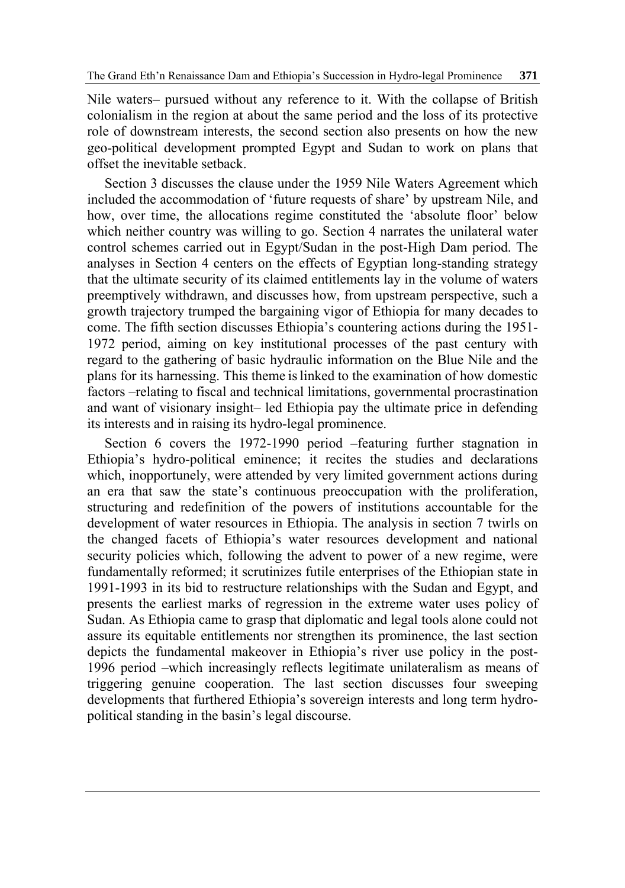Nile waters– pursued without any reference to it. With the collapse of British colonialism in the region at about the same period and the loss of its protective role of downstream interests, the second section also presents on how the new geo-political development prompted Egypt and Sudan to work on plans that offset the inevitable setback.

Section 3 discusses the clause under the 1959 Nile Waters Agreement which included the accommodation of 'future requests of share' by upstream Nile, and how, over time, the allocations regime constituted the 'absolute floor' below which neither country was willing to go. Section 4 narrates the unilateral water control schemes carried out in Egypt/Sudan in the post-High Dam period. The analyses in Section 4 centers on the effects of Egyptian long-standing strategy that the ultimate security of its claimed entitlements lay in the volume of waters preemptively withdrawn, and discusses how, from upstream perspective, such a growth trajectory trumped the bargaining vigor of Ethiopia for many decades to come. The fifth section discusses Ethiopia's countering actions during the 1951- 1972 period, aiming on key institutional processes of the past century with regard to the gathering of basic hydraulic information on the Blue Nile and the plans for its harnessing. This theme islinked to the examination of how domestic factors –relating to fiscal and technical limitations, governmental procrastination and want of visionary insight– led Ethiopia pay the ultimate price in defending its interests and in raising its hydro-legal prominence.

Section 6 covers the 1972-1990 period –featuring further stagnation in Ethiopia's hydro-political eminence; it recites the studies and declarations which, inopportunely, were attended by very limited government actions during an era that saw the state's continuous preoccupation with the proliferation, structuring and redefinition of the powers of institutions accountable for the development of water resources in Ethiopia. The analysis in section 7 twirls on the changed facets of Ethiopia's water resources development and national security policies which, following the advent to power of a new regime, were fundamentally reformed; it scrutinizes futile enterprises of the Ethiopian state in 1991-1993 in its bid to restructure relationships with the Sudan and Egypt, and presents the earliest marks of regression in the extreme water uses policy of Sudan. As Ethiopia came to grasp that diplomatic and legal tools alone could not assure its equitable entitlements nor strengthen its prominence, the last section depicts the fundamental makeover in Ethiopia's river use policy in the post-1996 period –which increasingly reflects legitimate unilateralism as means of triggering genuine cooperation. The last section discusses four sweeping developments that furthered Ethiopia's sovereign interests and long term hydropolitical standing in the basin's legal discourse.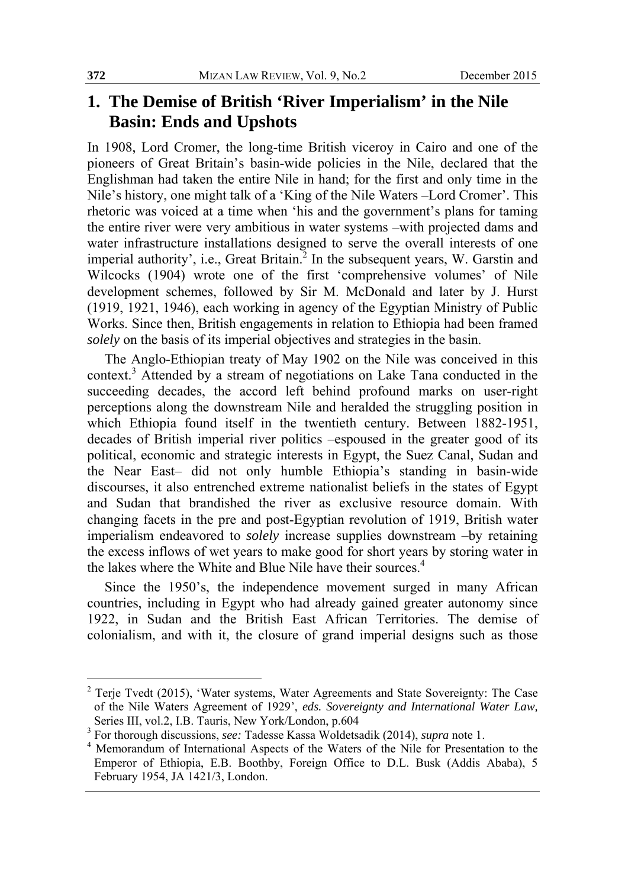### **1. The Demise of British 'River Imperialism' in the Nile Basin: Ends and Upshots**

In 1908, Lord Cromer, the long-time British viceroy in Cairo and one of the pioneers of Great Britain's basin-wide policies in the Nile, declared that the Englishman had taken the entire Nile in hand; for the first and only time in the Nile's history, one might talk of a 'King of the Nile Waters –Lord Cromer'. This rhetoric was voiced at a time when 'his and the government's plans for taming the entire river were very ambitious in water systems –with projected dams and water infrastructure installations designed to serve the overall interests of one imperial authority', i.e., Great Britain.<sup>2</sup> In the subsequent years, W. Garstin and Wilcocks (1904) wrote one of the first 'comprehensive volumes' of Nile development schemes, followed by Sir M. McDonald and later by J. Hurst (1919, 1921, 1946), each working in agency of the Egyptian Ministry of Public Works. Since then, British engagements in relation to Ethiopia had been framed *solely* on the basis of its imperial objectives and strategies in the basin.

The Anglo-Ethiopian treaty of May 1902 on the Nile was conceived in this context.<sup>3</sup> Attended by a stream of negotiations on Lake Tana conducted in the succeeding decades, the accord left behind profound marks on user-right perceptions along the downstream Nile and heralded the struggling position in which Ethiopia found itself in the twentieth century. Between 1882-1951, decades of British imperial river politics –espoused in the greater good of its political, economic and strategic interests in Egypt, the Suez Canal, Sudan and the Near East– did not only humble Ethiopia's standing in basin-wide discourses, it also entrenched extreme nationalist beliefs in the states of Egypt and Sudan that brandished the river as exclusive resource domain. With changing facets in the pre and post-Egyptian revolution of 1919, British water imperialism endeavored to *solely* increase supplies downstream –by retaining the excess inflows of wet years to make good for short years by storing water in the lakes where the White and Blue Nile have their sources. $4$ 

Since the 1950's, the independence movement surged in many African countries, including in Egypt who had already gained greater autonomy since 1922, in Sudan and the British East African Territories. The demise of colonialism, and with it, the closure of grand imperial designs such as those

 $2$  Terje Tvedt (2015), 'Water systems, Water Agreements and State Sovereignty: The Case of the Nile Waters Agreement of 1929', *eds. Sovereignty and International Water Law,*  Series III, vol.2, I.B. Tauris, New York/London, p.604

<sup>3</sup> For thorough discussions, *see:* Tadesse Kassa Woldetsadik (2014), *supra* note 1. 4

<sup>&</sup>lt;sup>4</sup> Memorandum of International Aspects of the Waters of the Nile for Presentation to the Emperor of Ethiopia, E.B. Boothby, Foreign Office to D.L. Busk (Addis Ababa), 5 February 1954, JA 1421/3, London.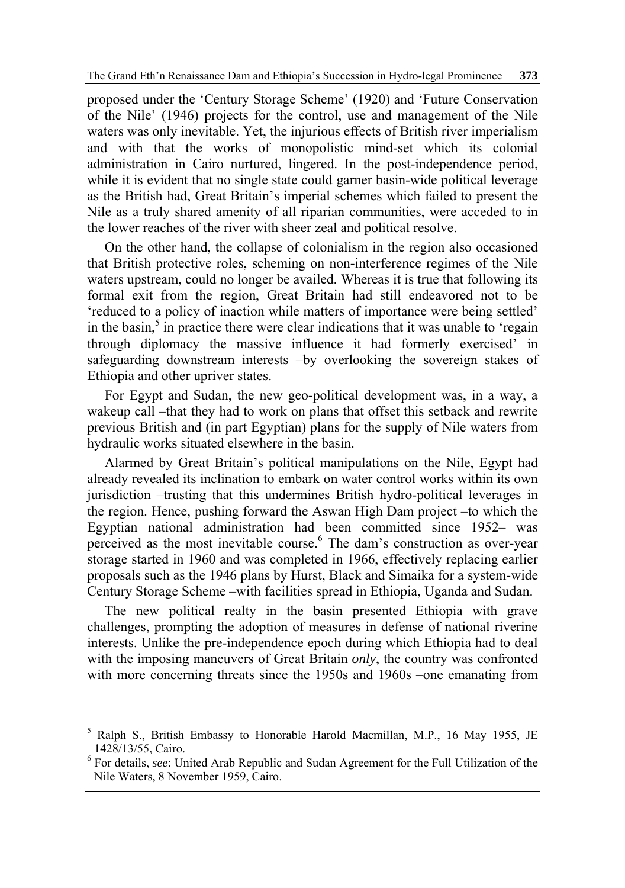proposed under the 'Century Storage Scheme' (1920) and 'Future Conservation of the Nile' (1946) projects for the control, use and management of the Nile waters was only inevitable. Yet, the injurious effects of British river imperialism and with that the works of monopolistic mind-set which its colonial administration in Cairo nurtured, lingered. In the post-independence period, while it is evident that no single state could garner basin-wide political leverage as the British had, Great Britain's imperial schemes which failed to present the Nile as a truly shared amenity of all riparian communities, were acceded to in the lower reaches of the river with sheer zeal and political resolve.

On the other hand, the collapse of colonialism in the region also occasioned that British protective roles, scheming on non-interference regimes of the Nile waters upstream, could no longer be availed. Whereas it is true that following its formal exit from the region, Great Britain had still endeavored not to be 'reduced to a policy of inaction while matters of importance were being settled' in the basin, $5$  in practice there were clear indications that it was unable to 'regain through diplomacy the massive influence it had formerly exercised' in safeguarding downstream interests –by overlooking the sovereign stakes of Ethiopia and other upriver states.

For Egypt and Sudan, the new geo-political development was, in a way, a wakeup call –that they had to work on plans that offset this setback and rewrite previous British and (in part Egyptian) plans for the supply of Nile waters from hydraulic works situated elsewhere in the basin.

Alarmed by Great Britain's political manipulations on the Nile, Egypt had already revealed its inclination to embark on water control works within its own jurisdiction –trusting that this undermines British hydro-political leverages in the region. Hence, pushing forward the Aswan High Dam project –to which the Egyptian national administration had been committed since 1952– was perceived as the most inevitable course.<sup>6</sup> The dam's construction as over-year storage started in 1960 and was completed in 1966, effectively replacing earlier proposals such as the 1946 plans by Hurst, Black and Simaika for a system-wide Century Storage Scheme –with facilities spread in Ethiopia, Uganda and Sudan.

The new political realty in the basin presented Ethiopia with grave challenges, prompting the adoption of measures in defense of national riverine interests. Unlike the pre-independence epoch during which Ethiopia had to deal with the imposing maneuvers of Great Britain *only*, the country was confronted with more concerning threats since the 1950s and 1960s –one emanating from

<sup>5</sup> Ralph S., British Embassy to Honorable Harold Macmillan, M.P., 16 May 1955, JE 1428/13/55, Cairo.

<sup>6</sup> For details, *see*: United Arab Republic and Sudan Agreement for the Full Utilization of the Nile Waters, 8 November 1959, Cairo.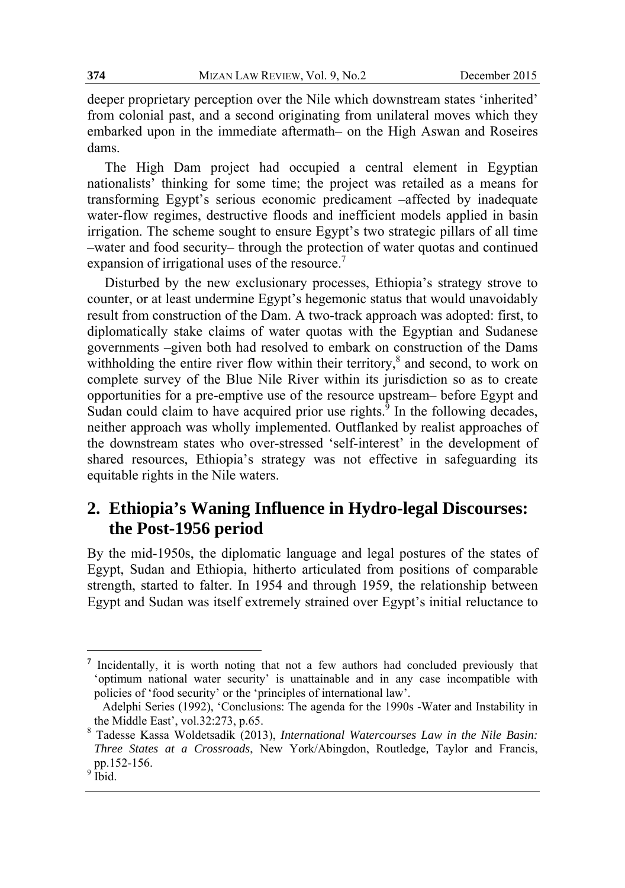deeper proprietary perception over the Nile which downstream states 'inherited' from colonial past, and a second originating from unilateral moves which they embarked upon in the immediate aftermath– on the High Aswan and Roseires dams.

The High Dam project had occupied a central element in Egyptian nationalists' thinking for some time; the project was retailed as a means for transforming Egypt's serious economic predicament –affected by inadequate water-flow regimes, destructive floods and inefficient models applied in basin irrigation. The scheme sought to ensure Egypt's two strategic pillars of all time –water and food security– through the protection of water quotas and continued expansion of irrigational uses of the resource.<sup>7</sup>

Disturbed by the new exclusionary processes, Ethiopia's strategy strove to counter, or at least undermine Egypt's hegemonic status that would unavoidably result from construction of the Dam. A two-track approach was adopted: first, to diplomatically stake claims of water quotas with the Egyptian and Sudanese governments –given both had resolved to embark on construction of the Dams withholding the entire river flow within their territory, $\delta$  and second, to work on complete survey of the Blue Nile River within its jurisdiction so as to create opportunities for a pre-emptive use of the resource upstream– before Egypt and Sudan could claim to have acquired prior use rights. $9$  In the following decades, neither approach was wholly implemented. Outflanked by realist approaches of the downstream states who over-stressed 'self-interest' in the development of shared resources, Ethiopia's strategy was not effective in safeguarding its equitable rights in the Nile waters.

### **2. Ethiopia's Waning Influence in Hydro-legal Discourses: the Post-1956 period**

By the mid-1950s, the diplomatic language and legal postures of the states of Egypt, Sudan and Ethiopia, hitherto articulated from positions of comparable strength, started to falter. In 1954 and through 1959, the relationship between Egypt and Sudan was itself extremely strained over Egypt's initial reluctance to

**<sup>7</sup>** Incidentally, it is worth noting that not a few authors had concluded previously that 'optimum national water security' is unattainable and in any case incompatible with policies of 'food security' or the 'principles of international law'.

Adelphi Series (1992), 'Conclusions: The agenda for the 1990s -Water and Instability in the Middle East', vol.32:273, p.65.

<sup>8</sup> Tadesse Kassa Woldetsadik (2013), *International Watercourses Law in the Nile Basin: Three States at a Crossroads*, New York/Abingdon, Routledge*,* Taylor and Francis, pp.152-156. 9

Ibid.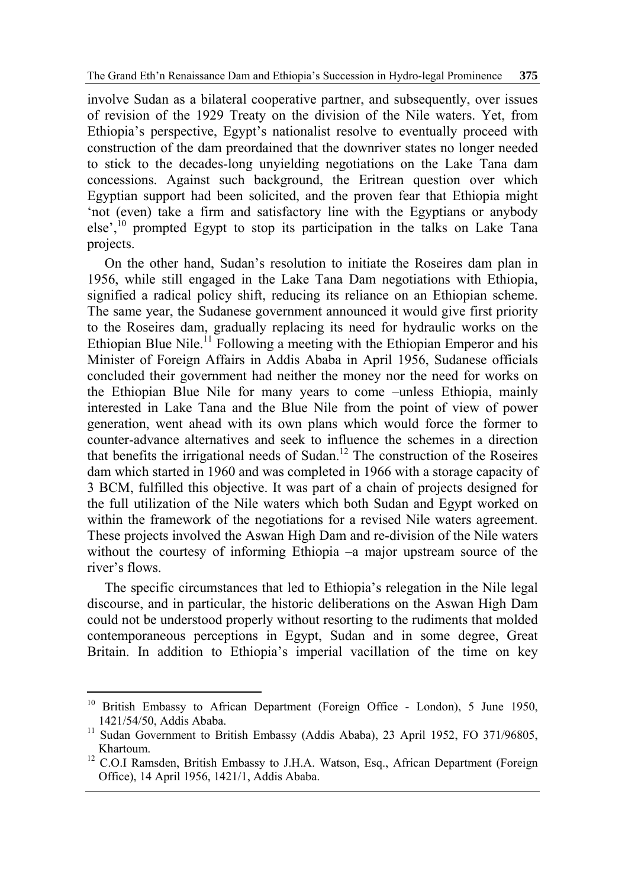involve Sudan as a bilateral cooperative partner, and subsequently, over issues of revision of the 1929 Treaty on the division of the Nile waters. Yet, from Ethiopia's perspective, Egypt's nationalist resolve to eventually proceed with construction of the dam preordained that the downriver states no longer needed to stick to the decades-long unyielding negotiations on the Lake Tana dam concessions. Against such background, the Eritrean question over which Egyptian support had been solicited, and the proven fear that Ethiopia might 'not (even) take a firm and satisfactory line with the Egyptians or anybody  $else'$ ,<sup>10</sup> prompted Egypt to stop its participation in the talks on Lake Tana projects.

On the other hand, Sudan's resolution to initiate the Roseires dam plan in 1956, while still engaged in the Lake Tana Dam negotiations with Ethiopia, signified a radical policy shift, reducing its reliance on an Ethiopian scheme. The same year, the Sudanese government announced it would give first priority to the Roseires dam, gradually replacing its need for hydraulic works on the Ethiopian Blue Nile.<sup>11</sup> Following a meeting with the Ethiopian Emperor and his Minister of Foreign Affairs in Addis Ababa in April 1956, Sudanese officials concluded their government had neither the money nor the need for works on the Ethiopian Blue Nile for many years to come –unless Ethiopia, mainly interested in Lake Tana and the Blue Nile from the point of view of power generation, went ahead with its own plans which would force the former to counter-advance alternatives and seek to influence the schemes in a direction that benefits the irrigational needs of Sudan.<sup>12</sup> The construction of the Roseires dam which started in 1960 and was completed in 1966 with a storage capacity of 3 BCM, fulfilled this objective. It was part of a chain of projects designed for the full utilization of the Nile waters which both Sudan and Egypt worked on within the framework of the negotiations for a revised Nile waters agreement. These projects involved the Aswan High Dam and re-division of the Nile waters without the courtesy of informing Ethiopia –a major upstream source of the river's flows.

The specific circumstances that led to Ethiopia's relegation in the Nile legal discourse, and in particular, the historic deliberations on the Aswan High Dam could not be understood properly without resorting to the rudiments that molded contemporaneous perceptions in Egypt, Sudan and in some degree, Great Britain. In addition to Ethiopia's imperial vacillation of the time on key

<sup>&</sup>lt;sup>10</sup> British Embassy to African Department (Foreign Office - London), 5 June 1950,

<sup>1421/54/50,</sup> Addis Ababa. 11 Sudan Government to British Embassy (Addis Ababa), 23 April 1952, FO 371/96805,

Khartoum.<br><sup>12</sup> C.O.I Ramsden, British Embassy to J.H.A. Watson, Esq., African Department (Foreign Office), 14 April 1956, 1421/1, Addis Ababa.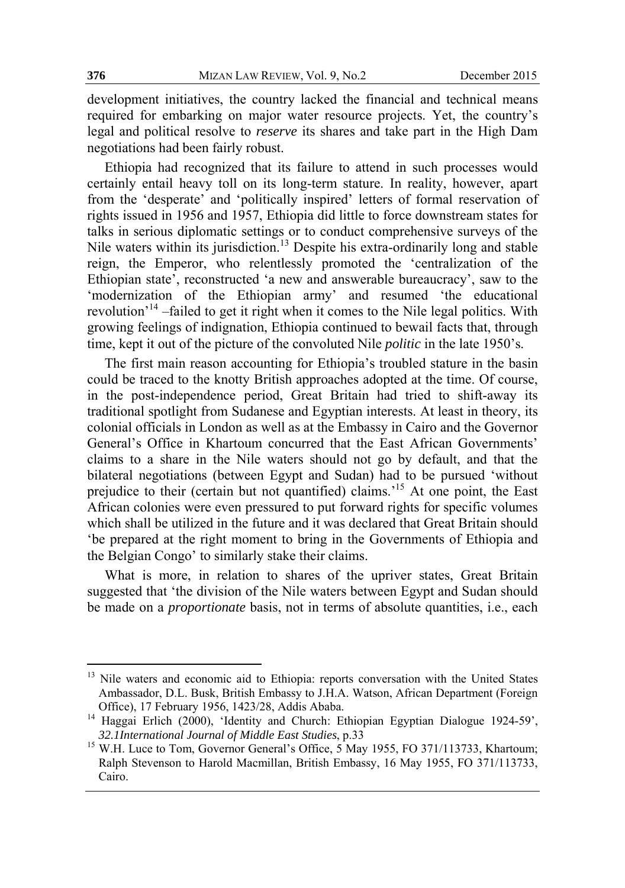development initiatives, the country lacked the financial and technical means required for embarking on major water resource projects. Yet, the country's legal and political resolve to *reserve* its shares and take part in the High Dam negotiations had been fairly robust.

Ethiopia had recognized that its failure to attend in such processes would certainly entail heavy toll on its long-term stature. In reality, however, apart from the 'desperate' and 'politically inspired' letters of formal reservation of rights issued in 1956 and 1957, Ethiopia did little to force downstream states for talks in serious diplomatic settings or to conduct comprehensive surveys of the Nile waters within its jurisdiction.<sup>13</sup> Despite his extra-ordinarily long and stable reign, the Emperor, who relentlessly promoted the 'centralization of the Ethiopian state', reconstructed 'a new and answerable bureaucracy', saw to the 'modernization of the Ethiopian army' and resumed 'the educational revolution'14 –failed to get it right when it comes to the Nile legal politics. With growing feelings of indignation, Ethiopia continued to bewail facts that, through time, kept it out of the picture of the convoluted Nile *politic* in the late 1950's.

The first main reason accounting for Ethiopia's troubled stature in the basin could be traced to the knotty British approaches adopted at the time. Of course, in the post-independence period, Great Britain had tried to shift-away its traditional spotlight from Sudanese and Egyptian interests. At least in theory, its colonial officials in London as well as at the Embassy in Cairo and the Governor General's Office in Khartoum concurred that the East African Governments' claims to a share in the Nile waters should not go by default, and that the bilateral negotiations (between Egypt and Sudan) had to be pursued 'without prejudice to their (certain but not quantified) claims.'15 At one point, the East African colonies were even pressured to put forward rights for specific volumes which shall be utilized in the future and it was declared that Great Britain should 'be prepared at the right moment to bring in the Governments of Ethiopia and the Belgian Congo' to similarly stake their claims.

What is more, in relation to shares of the upriver states, Great Britain suggested that 'the division of the Nile waters between Egypt and Sudan should be made on a *proportionate* basis, not in terms of absolute quantities, i.e., each

1

<sup>&</sup>lt;sup>13</sup> Nile waters and economic aid to Ethiopia: reports conversation with the United States Ambassador, D.L. Busk, British Embassy to J.H.A. Watson, African Department (Foreign

Office), 17 February 1956, 1423/28, Addis Ababa. 14 Haggai Erlich (2000), 'Identity and Church: Ethiopian Egyptian Dialogue 1924-59', *32.1International Journal of Middle East Studies*, p.33 15 W.H. Luce to Tom, Governor General's Office, 5 May 1955, FO 371/113733, Khartoum;

Ralph Stevenson to Harold Macmillan, British Embassy, 16 May 1955, FO 371/113733, Cairo.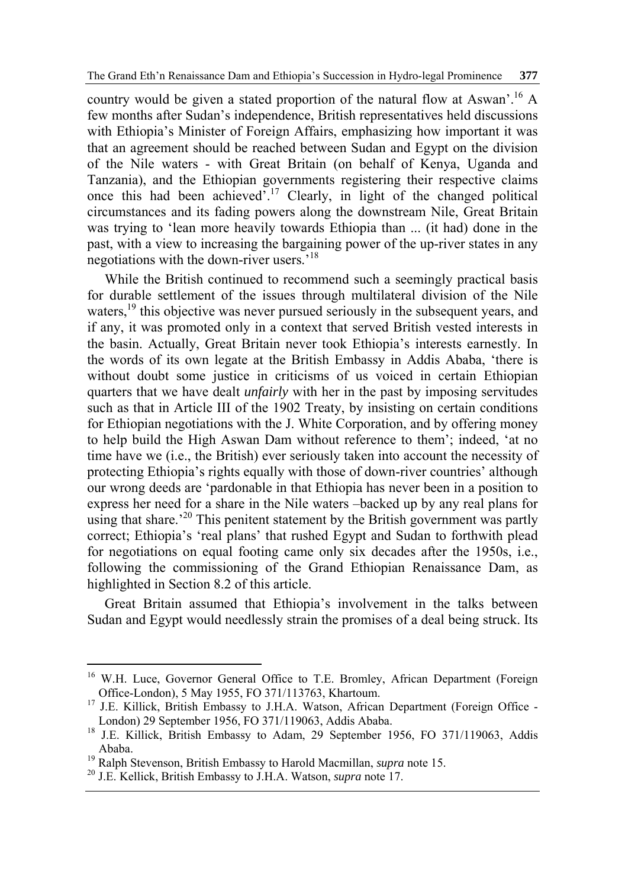country would be given a stated proportion of the natural flow at Aswan'.16 A few months after Sudan's independence, British representatives held discussions with Ethiopia's Minister of Foreign Affairs, emphasizing how important it was that an agreement should be reached between Sudan and Egypt on the division of the Nile waters - with Great Britain (on behalf of Kenya, Uganda and Tanzania), and the Ethiopian governments registering their respective claims once this had been achieved'.17 Clearly, in light of the changed political circumstances and its fading powers along the downstream Nile, Great Britain was trying to 'lean more heavily towards Ethiopia than ... (it had) done in the past, with a view to increasing the bargaining power of the up-river states in any negotiations with the down-river users.'<sup>18</sup>

While the British continued to recommend such a seemingly practical basis for durable settlement of the issues through multilateral division of the Nile waters,<sup>19</sup> this objective was never pursued seriously in the subsequent years, and if any, it was promoted only in a context that served British vested interests in the basin. Actually, Great Britain never took Ethiopia's interests earnestly. In the words of its own legate at the British Embassy in Addis Ababa, 'there is without doubt some justice in criticisms of us voiced in certain Ethiopian quarters that we have dealt *unfairly* with her in the past by imposing servitudes such as that in Article III of the 1902 Treaty, by insisting on certain conditions for Ethiopian negotiations with the J. White Corporation, and by offering money to help build the High Aswan Dam without reference to them'; indeed, 'at no time have we (i.e., the British) ever seriously taken into account the necessity of protecting Ethiopia's rights equally with those of down-river countries' although our wrong deeds are 'pardonable in that Ethiopia has never been in a position to express her need for a share in the Nile waters –backed up by any real plans for using that share.<sup>20</sup> This penitent statement by the British government was partly correct; Ethiopia's 'real plans' that rushed Egypt and Sudan to forthwith plead for negotiations on equal footing came only six decades after the 1950s, i.e., following the commissioning of the Grand Ethiopian Renaissance Dam, as highlighted in Section 8.2 of this article.

Great Britain assumed that Ethiopia's involvement in the talks between Sudan and Egypt would needlessly strain the promises of a deal being struck. Its

1

<sup>&</sup>lt;sup>16</sup> W.H. Luce, Governor General Office to T.E. Bromley, African Department (Foreign Office-London), 5 May 1955, FO 371/113763, Khartoum.<br><sup>17</sup> J.E. Killick, British Embassy to J.H.A. Watson, African Department (Foreign Office -

London) 29 September 1956, FO 371/119063, Addis Ababa. 18 J.E. Killick, British Embassy to Adam, 29 September 1956, FO 371/119063, Addis

Ababa. 19 Ralph Stevenson, British Embassy to Harold Macmillan, *supra* note 15. 20 J.E. Kellick, British Embassy to J.H.A. Watson, *supra* note 17.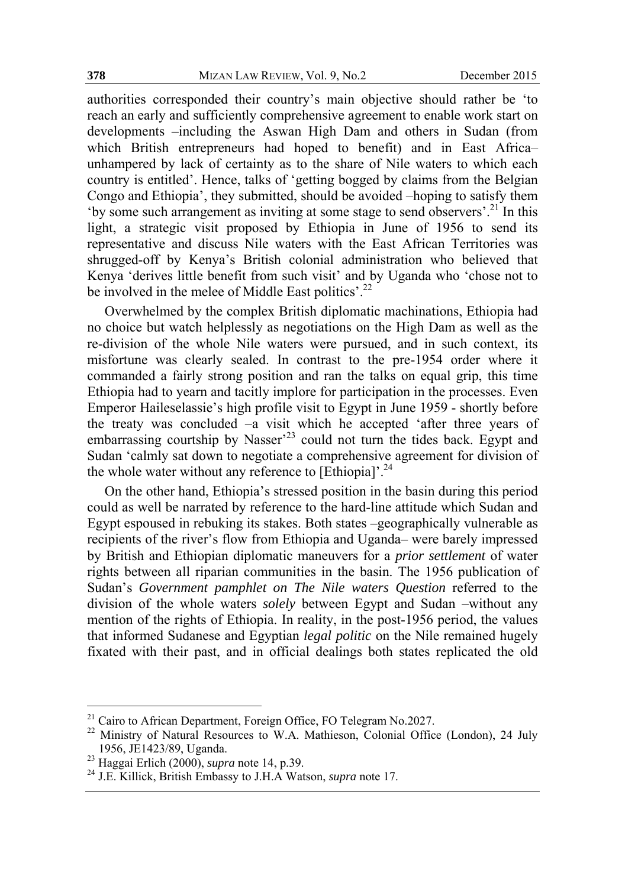authorities corresponded their country's main objective should rather be 'to reach an early and sufficiently comprehensive agreement to enable work start on developments –including the Aswan High Dam and others in Sudan (from which British entrepreneurs had hoped to benefit) and in East Africaunhampered by lack of certainty as to the share of Nile waters to which each country is entitled'. Hence, talks of 'getting bogged by claims from the Belgian Congo and Ethiopia', they submitted, should be avoided –hoping to satisfy them 'by some such arrangement as inviting at some stage to send observers'.<sup>21</sup> In this light, a strategic visit proposed by Ethiopia in June of 1956 to send its representative and discuss Nile waters with the East African Territories was shrugged-off by Kenya's British colonial administration who believed that Kenya 'derives little benefit from such visit' and by Uganda who 'chose not to be involved in the melee of Middle East politics'.<sup>22</sup>

Overwhelmed by the complex British diplomatic machinations, Ethiopia had no choice but watch helplessly as negotiations on the High Dam as well as the re-division of the whole Nile waters were pursued, and in such context, its misfortune was clearly sealed. In contrast to the pre-1954 order where it commanded a fairly strong position and ran the talks on equal grip, this time Ethiopia had to yearn and tacitly implore for participation in the processes. Even Emperor Haileselassie's high profile visit to Egypt in June 1959 - shortly before the treaty was concluded  $-a$  visit which he accepted 'after three years of embarrassing courtship by Nasser<sup>23</sup> could not turn the tides back. Egypt and Sudan 'calmly sat down to negotiate a comprehensive agreement for division of the whole water without any reference to [Ethiopia]<sup>'.24</sup>

On the other hand, Ethiopia's stressed position in the basin during this period could as well be narrated by reference to the hard-line attitude which Sudan and Egypt espoused in rebuking its stakes. Both states –geographically vulnerable as recipients of the river's flow from Ethiopia and Uganda– were barely impressed by British and Ethiopian diplomatic maneuvers for a *prior settlement* of water rights between all riparian communities in the basin. The 1956 publication of Sudan's *Government pamphlet on The Nile waters Question* referred to the division of the whole waters *solely* between Egypt and Sudan –without any mention of the rights of Ethiopia. In reality, in the post-1956 period, the values that informed Sudanese and Egyptian *legal politic* on the Nile remained hugely fixated with their past, and in official dealings both states replicated the old

<u>.</u>

 $21$  Cairo to African Department, Foreign Office, FO Telegram No.2027.

<sup>&</sup>lt;sup>22</sup> Ministry of Natural Resources to W.A. Mathieson, Colonial Office (London), 24 July 1956, JE1423/89, Uganda. 23 Haggai Erlich (2000), *supra* note 14, p.39. 24 J.E. Killick, British Embassy to J.H.A Watson, *supra* note 17.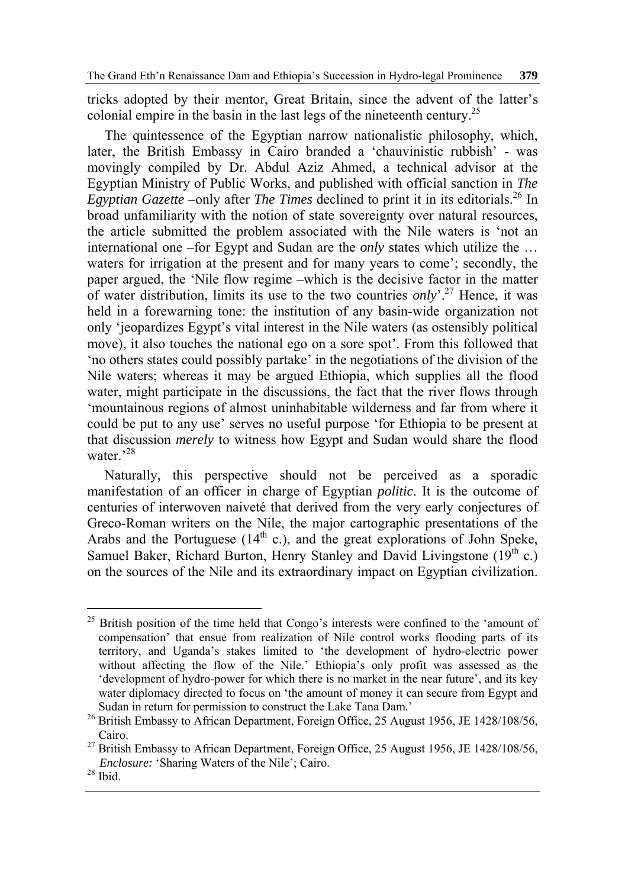tricks adopted by their mentor, Great Britain, since the advent of the latter's colonial empire in the basin in the last legs of the nineteenth century.<sup>25</sup>

The quintessence of the Egyptian narrow nationalistic philosophy, which, later, the British Embassy in Cairo branded a 'chauvinistic rubbish' - was movingly compiled by Dr. Abdul Aziz Ahmed, a technical advisor at the Egyptian Ministry of Public Works, and published with official sanction in *The Egyptian Gazette* –only after *The Times* declined to print it in its editorials.<sup>26</sup> In broad unfamiliarity with the notion of state sovereignty over natural resources, the article submitted the problem associated with the Nile waters is 'not an international one –for Egypt and Sudan are the *only* states which utilize the … waters for irrigation at the present and for many years to come'; secondly, the paper argued, the 'Nile flow regime –which is the decisive factor in the matter of water distribution, limits its use to the two countries *only*'.27 Hence, it was held in a forewarning tone: the institution of any basin-wide organization not only 'jeopardizes Egypt's vital interest in the Nile waters (as ostensibly political move), it also touches the national ego on a sore spot'. From this followed that 'no others states could possibly partake' in the negotiations of the division of the Nile waters; whereas it may be argued Ethiopia, which supplies all the flood water, might participate in the discussions, the fact that the river flows through 'mountainous regions of almost uninhabitable wilderness and far from where it could be put to any use' serves no useful purpose 'for Ethiopia to be present at that discussion *merely* to witness how Egypt and Sudan would share the flood water<sup>,28</sup>

Naturally, this perspective should not be perceived as a sporadic manifestation of an officer in charge of Egyptian *politic*. It is the outcome of centuries of interwoven naiveté that derived from the very early conjectures of Greco-Roman writers on the Nile, the major cartographic presentations of the Arabs and the Portuguese  $(14<sup>th</sup> c)$ , and the great explorations of John Speke, Samuel Baker, Richard Burton, Henry Stanley and David Livingstone  $(19<sup>th</sup> c.)$ on the sources of the Nile and its extraordinary impact on Egyptian civilization.

<sup>-</sup><sup>25</sup> British position of the time held that Congo's interests were confined to the 'amount of compensation' that ensue from realization of Nile control works flooding parts of its territory, and Uganda's stakes limited to 'the development of hydro-electric power without affecting the flow of the Nile.' Ethiopia's only profit was assessed as the 'development of hydro-power for which there is no market in the near future', and its key water diplomacy directed to focus on 'the amount of money it can secure from Egypt and

Sudan in return for permission to construct the Lake Tana Dam.' 26 British Embassy to African Department, Foreign Office, 25 August 1956, JE 1428/108/56,

Cairo. 27 British Embassy to African Department, Foreign Office, 25 August 1956, JE 1428/108/56, *Enclosure:* 'Sharing Waters of the Nile'; Cairo. 28 Ibid.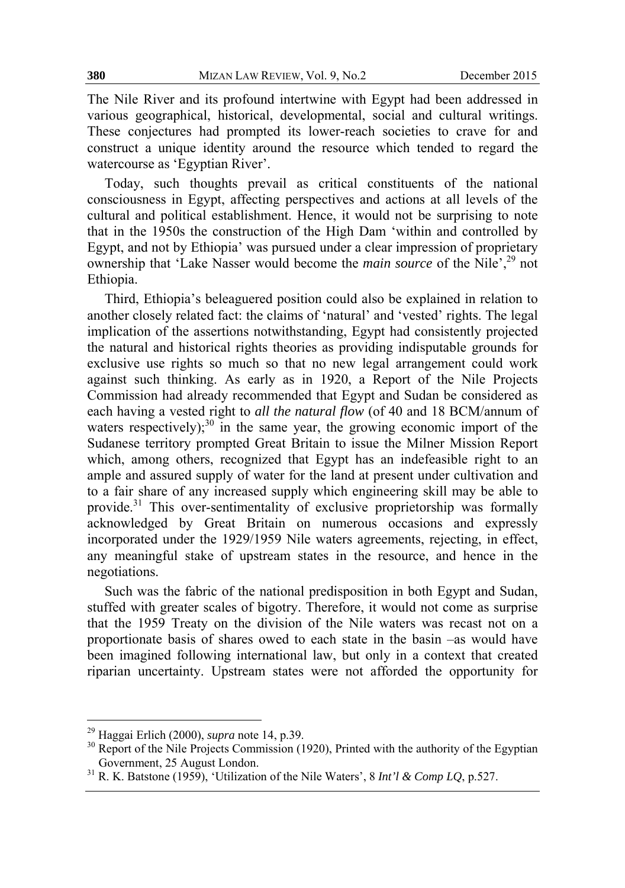The Nile River and its profound intertwine with Egypt had been addressed in various geographical, historical, developmental, social and cultural writings. These conjectures had prompted its lower-reach societies to crave for and construct a unique identity around the resource which tended to regard the watercourse as 'Egyptian River'.

Today, such thoughts prevail as critical constituents of the national consciousness in Egypt, affecting perspectives and actions at all levels of the cultural and political establishment. Hence, it would not be surprising to note that in the 1950s the construction of the High Dam 'within and controlled by Egypt, and not by Ethiopia' was pursued under a clear impression of proprietary ownership that 'Lake Nasser would become the *main source* of the Nile',<sup>29</sup> not Ethiopia.

Third, Ethiopia's beleaguered position could also be explained in relation to another closely related fact: the claims of 'natural' and 'vested' rights. The legal implication of the assertions notwithstanding, Egypt had consistently projected the natural and historical rights theories as providing indisputable grounds for exclusive use rights so much so that no new legal arrangement could work against such thinking. As early as in 1920, a Report of the Nile Projects Commission had already recommended that Egypt and Sudan be considered as each having a vested right to *all the natural flow* (of 40 and 18 BCM/annum of waters respectively); $30$  in the same year, the growing economic import of the Sudanese territory prompted Great Britain to issue the Milner Mission Report which, among others, recognized that Egypt has an indefeasible right to an ample and assured supply of water for the land at present under cultivation and to a fair share of any increased supply which engineering skill may be able to provide.<sup>31</sup> This over-sentimentality of exclusive proprietorship was formally acknowledged by Great Britain on numerous occasions and expressly incorporated under the 1929/1959 Nile waters agreements, rejecting, in effect, any meaningful stake of upstream states in the resource, and hence in the negotiations.

Such was the fabric of the national predisposition in both Egypt and Sudan, stuffed with greater scales of bigotry. Therefore, it would not come as surprise that the 1959 Treaty on the division of the Nile waters was recast not on a proportionate basis of shares owed to each state in the basin –as would have been imagined following international law, but only in a context that created riparian uncertainty. Upstream states were not afforded the opportunity for

<sup>&</sup>lt;sup>29</sup> Haggai Erlich (2000), *supra* note 14, p.39.<br><sup>30</sup> Report of the Nile Projects Commission (1920), Printed with the authority of the Egyptian Government, 25 August London. 31 R. K. Batstone (1959), 'Utilization of the Nile Waters', 8 *Int'l & Comp LQ*, p.527.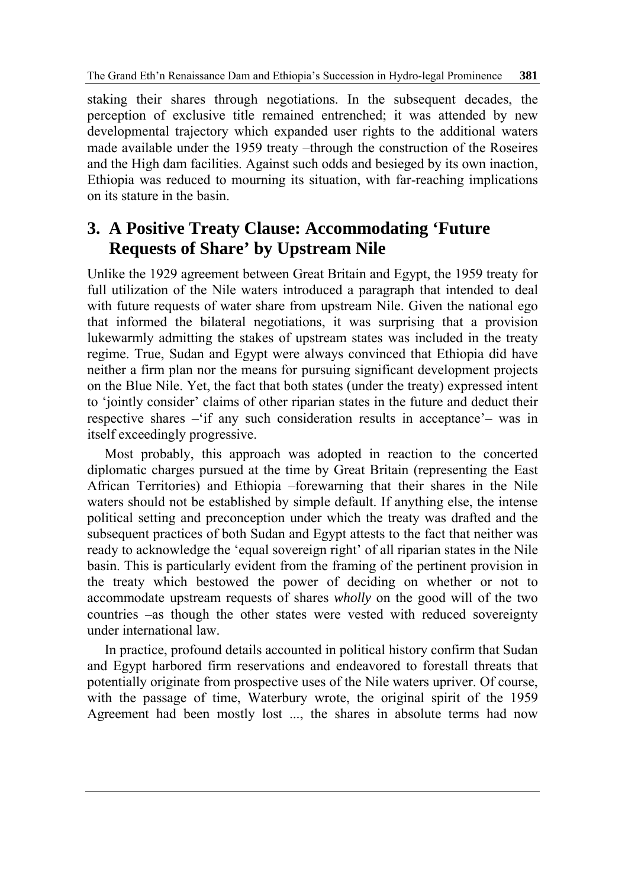staking their shares through negotiations. In the subsequent decades, the perception of exclusive title remained entrenched; it was attended by new developmental trajectory which expanded user rights to the additional waters made available under the 1959 treaty –through the construction of the Roseires and the High dam facilities. Against such odds and besieged by its own inaction, Ethiopia was reduced to mourning its situation, with far-reaching implications on its stature in the basin.

# **3. A Positive Treaty Clause: Accommodating 'Future Requests of Share' by Upstream Nile**

Unlike the 1929 agreement between Great Britain and Egypt, the 1959 treaty for full utilization of the Nile waters introduced a paragraph that intended to deal with future requests of water share from upstream Nile. Given the national ego that informed the bilateral negotiations, it was surprising that a provision lukewarmly admitting the stakes of upstream states was included in the treaty regime. True, Sudan and Egypt were always convinced that Ethiopia did have neither a firm plan nor the means for pursuing significant development projects on the Blue Nile. Yet, the fact that both states (under the treaty) expressed intent to 'jointly consider' claims of other riparian states in the future and deduct their respective shares –'if any such consideration results in acceptance'– was in itself exceedingly progressive.

Most probably, this approach was adopted in reaction to the concerted diplomatic charges pursued at the time by Great Britain (representing the East African Territories) and Ethiopia –forewarning that their shares in the Nile waters should not be established by simple default. If anything else, the intense political setting and preconception under which the treaty was drafted and the subsequent practices of both Sudan and Egypt attests to the fact that neither was ready to acknowledge the 'equal sovereign right' of all riparian states in the Nile basin. This is particularly evident from the framing of the pertinent provision in the treaty which bestowed the power of deciding on whether or not to accommodate upstream requests of shares *wholly* on the good will of the two countries –as though the other states were vested with reduced sovereignty under international law.

In practice, profound details accounted in political history confirm that Sudan and Egypt harbored firm reservations and endeavored to forestall threats that potentially originate from prospective uses of the Nile waters upriver. Of course, with the passage of time, Waterbury wrote, the original spirit of the 1959 Agreement had been mostly lost ..., the shares in absolute terms had now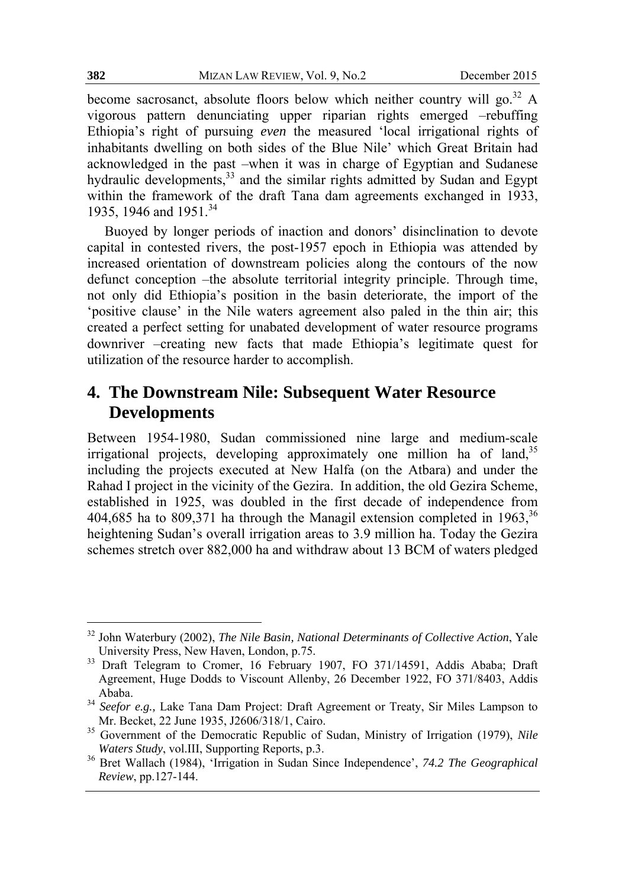become sacrosanct, absolute floors below which neither country will go.<sup>32</sup> A vigorous pattern denunciating upper riparian rights emerged –rebuffing Ethiopia's right of pursuing *even* the measured 'local irrigational rights of inhabitants dwelling on both sides of the Blue Nile' which Great Britain had acknowledged in the past –when it was in charge of Egyptian and Sudanese hydraulic developments,<sup>33</sup> and the similar rights admitted by Sudan and Egypt within the framework of the draft Tana dam agreements exchanged in 1933, 1935, 1946 and 1951<sup>34</sup>

Buoyed by longer periods of inaction and donors' disinclination to devote capital in contested rivers, the post-1957 epoch in Ethiopia was attended by increased orientation of downstream policies along the contours of the now defunct conception –the absolute territorial integrity principle. Through time, not only did Ethiopia's position in the basin deteriorate, the import of the 'positive clause' in the Nile waters agreement also paled in the thin air; this created a perfect setting for unabated development of water resource programs downriver –creating new facts that made Ethiopia's legitimate quest for utilization of the resource harder to accomplish.

# **4. The Downstream Nile: Subsequent Water Resource Developments**

Between 1954-1980, Sudan commissioned nine large and medium-scale irrigational projects, developing approximately one million ha of land,  $35$ including the projects executed at New Halfa (on the Atbara) and under the Rahad I project in the vicinity of the Gezira. In addition, the old Gezira Scheme, established in 1925, was doubled in the first decade of independence from 404,685 ha to 809,371 ha through the Managil extension completed in 1963,  $36$ heightening Sudan's overall irrigation areas to 3.9 million ha. Today the Gezira schemes stretch over 882,000 ha and withdraw about 13 BCM of waters pledged

<u>.</u>

<sup>32</sup> John Waterbury (2002), *The Nile Basin, National Determinants of Collective Action*, Yale

University Press, New Haven, London, p.75. 33 Draft Telegram to Cromer, 16 February 1907, FO 371/14591, Addis Ababa; Draft Agreement, Huge Dodds to Viscount Allenby, 26 December 1922, FO 371/8403, Addis

Ababa. 34 *Seefor e.g.,* Lake Tana Dam Project: Draft Agreement or Treaty, Sir Miles Lampson to

Mr. Becket, 22 June 1935, J2606/318/1, Cairo.<br><sup>35</sup> Government of the Democratic Republic of Sudan, Ministry of Irrigation (1979), *Nile Waters Study*, vol.III, Supporting Reports, p.3.

<sup>&</sup>lt;sup>36</sup> Bret Wallach (1984), 'Irrigation in Sudan Since Independence', *74.2 The Geographical Review*, pp.127-144.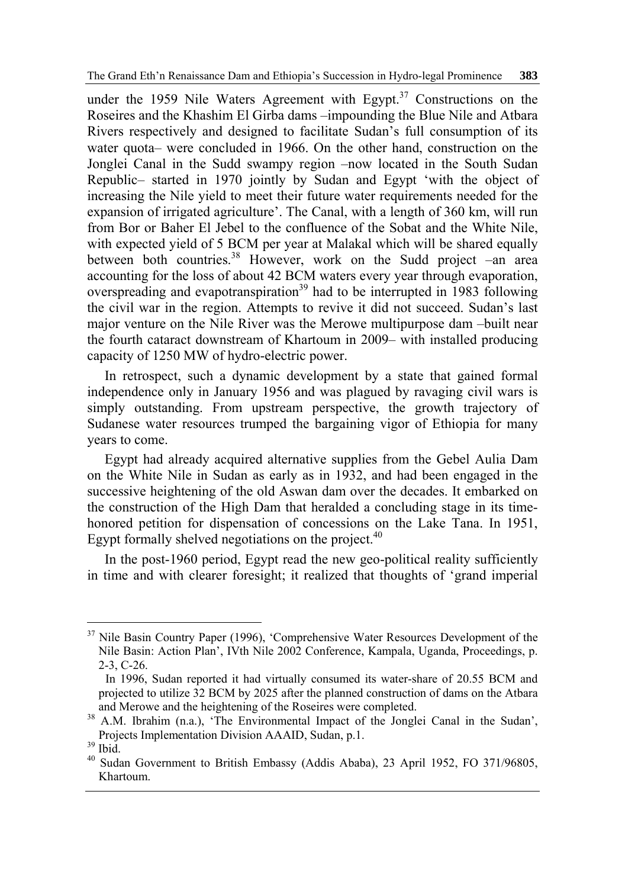under the 1959 Nile Waters Agreement with Egypt.<sup>37</sup> Constructions on the Roseires and the Khashim El Girba dams –impounding the Blue Nile and Atbara Rivers respectively and designed to facilitate Sudan's full consumption of its water quota– were concluded in 1966. On the other hand, construction on the Jonglei Canal in the Sudd swampy region –now located in the South Sudan Republic– started in 1970 jointly by Sudan and Egypt 'with the object of increasing the Nile yield to meet their future water requirements needed for the expansion of irrigated agriculture'. The Canal, with a length of 360 km, will run from Bor or Baher El Jebel to the confluence of the Sobat and the White Nile, with expected yield of 5 BCM per year at Malakal which will be shared equally between both countries.<sup>38</sup> However, work on the Sudd project –an area accounting for the loss of about 42 BCM waters every year through evaporation, overspreading and evapotranspiration<sup>39</sup> had to be interrupted in 1983 following the civil war in the region. Attempts to revive it did not succeed. Sudan's last major venture on the Nile River was the Merowe multipurpose dam –built near the fourth cataract downstream of Khartoum in 2009– with installed producing capacity of 1250 MW of hydro-electric power.

In retrospect, such a dynamic development by a state that gained formal independence only in January 1956 and was plagued by ravaging civil wars is simply outstanding. From upstream perspective, the growth trajectory of Sudanese water resources trumped the bargaining vigor of Ethiopia for many years to come.

Egypt had already acquired alternative supplies from the Gebel Aulia Dam on the White Nile in Sudan as early as in 1932, and had been engaged in the successive heightening of the old Aswan dam over the decades. It embarked on the construction of the High Dam that heralded a concluding stage in its timehonored petition for dispensation of concessions on the Lake Tana. In 1951, Egypt formally shelved negotiations on the project. $40$ 

In the post-1960 period, Egypt read the new geo-political reality sufficiently in time and with clearer foresight; it realized that thoughts of 'grand imperial

<u>.</u>

<sup>&</sup>lt;sup>37</sup> Nile Basin Country Paper (1996), 'Comprehensive Water Resources Development of the Nile Basin: Action Plan', IVth Nile 2002 Conference, Kampala, Uganda, Proceedings, p. 2-3, C-26.

In 1996, Sudan reported it had virtually consumed its water-share of 20.55 BCM and projected to utilize 32 BCM by 2025 after the planned construction of dams on the Atbara

and Merowe and the heightening of the Roseires were completed. <sup>38</sup> A.M. Ibrahim (n.a.), 'The Environmental Impact of the Jonglei Canal in the Sudan', Projects Implementation Division AAAID, Sudan, p.1.<br><sup>39</sup> Ibid.

<sup>&</sup>lt;sup>40</sup> Sudan Government to British Embassy (Addis Ababa), 23 April 1952, FO 371/96805, Khartoum.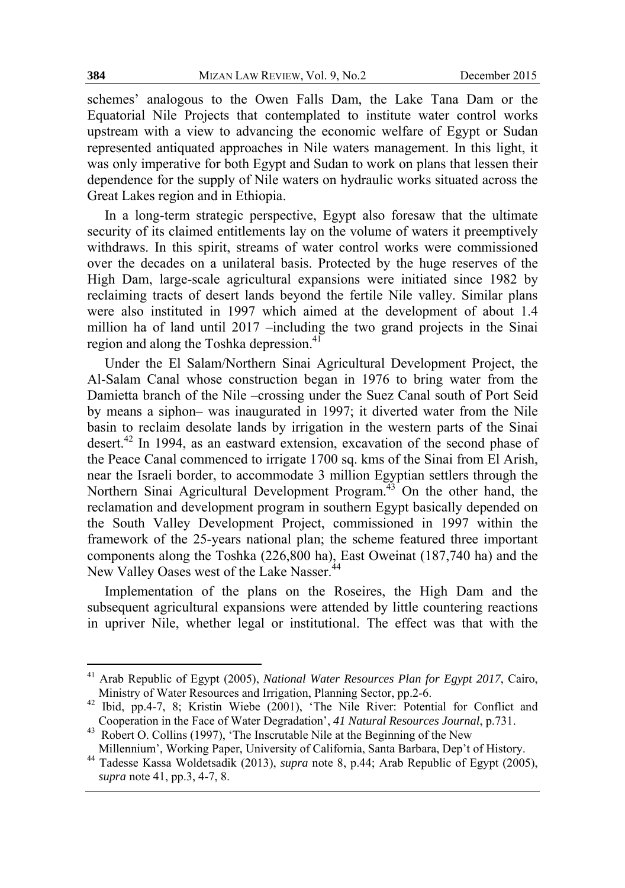schemes' analogous to the Owen Falls Dam, the Lake Tana Dam or the Equatorial Nile Projects that contemplated to institute water control works upstream with a view to advancing the economic welfare of Egypt or Sudan represented antiquated approaches in Nile waters management. In this light, it was only imperative for both Egypt and Sudan to work on plans that lessen their dependence for the supply of Nile waters on hydraulic works situated across the Great Lakes region and in Ethiopia.

In a long-term strategic perspective, Egypt also foresaw that the ultimate security of its claimed entitlements lay on the volume of waters it preemptively withdraws. In this spirit, streams of water control works were commissioned over the decades on a unilateral basis. Protected by the huge reserves of the High Dam, large-scale agricultural expansions were initiated since 1982 by reclaiming tracts of desert lands beyond the fertile Nile valley. Similar plans were also instituted in 1997 which aimed at the development of about 1.4 million ha of land until 2017 –including the two grand projects in the Sinai region and along the Toshka depression.<sup>41</sup>

Under the El Salam/Northern Sinai Agricultural Development Project, the Al-Salam Canal whose construction began in 1976 to bring water from the Damietta branch of the Nile –crossing under the Suez Canal south of Port Seid by means a siphon– was inaugurated in 1997; it diverted water from the Nile basin to reclaim desolate lands by irrigation in the western parts of the Sinai desert.<sup>42</sup> In 1994, as an eastward extension, excavation of the second phase of the Peace Canal commenced to irrigate 1700 sq. kms of the Sinai from El Arish, near the Israeli border, to accommodate 3 million Egyptian settlers through the Northern Sinai Agricultural Development Program.<sup>43</sup> On the other hand, the reclamation and development program in southern Egypt basically depended on the South Valley Development Project, commissioned in 1997 within the framework of the 25-years national plan; the scheme featured three important components along the Toshka (226,800 ha), East Oweinat (187,740 ha) and the New Valley Oases west of the Lake Nasser.<sup>44</sup>

Implementation of the plans on the Roseires, the High Dam and the subsequent agricultural expansions were attended by little countering reactions in upriver Nile, whether legal or institutional. The effect was that with the

1

<sup>41</sup> Arab Republic of Egypt (2005), *National Water Resources Plan for Egypt 2017*, Cairo, Ministry of Water Resources and Irrigation, Planning Sector, pp.2-6. 42 Ibid, pp.4-7, 8; Kristin Wiebe (2001), 'The Nile River: Potential for Conflict and

Cooperation in the Face of Water Degradation', *41 Natural Resources Journal*, p.731. 43 Robert O. Collins (1997), 'The Inscrutable Nile at the Beginning of the New

<sup>&</sup>lt;sup>44</sup> Tadesse Kassa Woldetsadik (2013), *supra* note 8, p.44; Arab Republic of Egypt (2005), *supra* note 41, pp.3, 4-7, 8.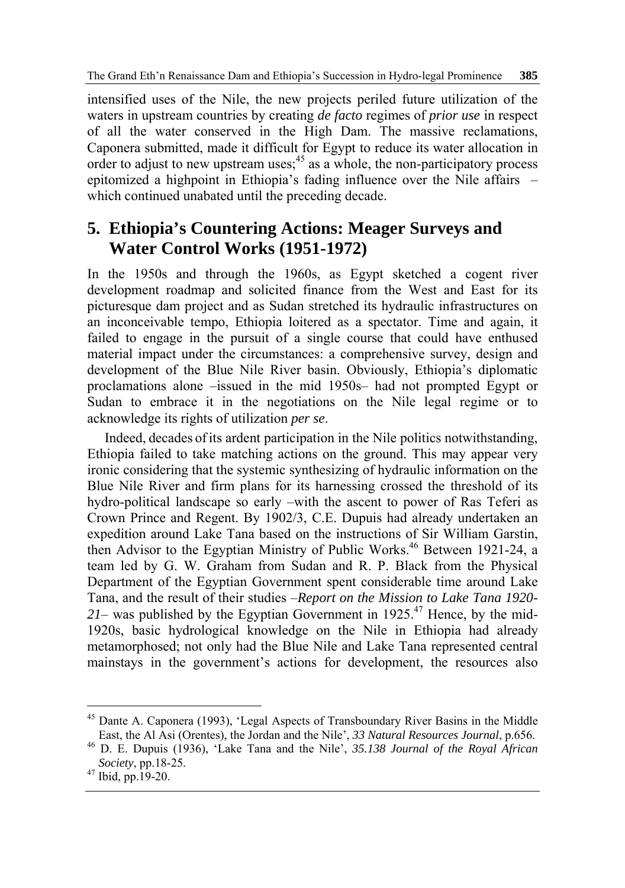intensified uses of the Nile, the new projects periled future utilization of the waters in upstream countries by creating *de facto* regimes of *prior use* in respect of all the water conserved in the High Dam. The massive reclamations, Caponera submitted, made it difficult for Egypt to reduce its water allocation in order to adjust to new upstream uses;<sup>45</sup> as a whole, the non-participatory process epitomized a highpoint in Ethiopia's fading influence over the Nile affairs – which continued unabated until the preceding decade.

# **5. Ethiopia's Countering Actions: Meager Surveys and Water Control Works (1951-1972)**

In the 1950s and through the 1960s, as Egypt sketched a cogent river development roadmap and solicited finance from the West and East for its picturesque dam project and as Sudan stretched its hydraulic infrastructures on an inconceivable tempo, Ethiopia loitered as a spectator. Time and again, it failed to engage in the pursuit of a single course that could have enthused material impact under the circumstances: a comprehensive survey, design and development of the Blue Nile River basin. Obviously, Ethiopia's diplomatic proclamations alone –issued in the mid 1950s– had not prompted Egypt or Sudan to embrace it in the negotiations on the Nile legal regime or to acknowledge its rights of utilization *per se*.

Indeed, decades ofits ardent participation in the Nile politics notwithstanding, Ethiopia failed to take matching actions on the ground. This may appear very ironic considering that the systemic synthesizing of hydraulic information on the Blue Nile River and firm plans for its harnessing crossed the threshold of its hydro-political landscape so early –with the ascent to power of Ras Teferi as Crown Prince and Regent. By 1902/3, C.E. Dupuis had already undertaken an expedition around Lake Tana based on the instructions of Sir William Garstin, then Advisor to the Egyptian Ministry of Public Works.<sup>46</sup> Between 1921-24, a team led by G. W. Graham from Sudan and R. P. Black from the Physical Department of the Egyptian Government spent considerable time around Lake Tana, and the result of their studies –*Report on the Mission to Lake Tana 1920-* 21– was published by the Egyptian Government in  $1925<sup>47</sup>$  Hence, by the mid-1920s, basic hydrological knowledge on the Nile in Ethiopia had already metamorphosed; not only had the Blue Nile and Lake Tana represented central mainstays in the government's actions for development, the resources also

<sup>45</sup> Dante A. Caponera (1993), 'Legal Aspects of Transboundary River Basins in the Middle

East, the Al Asi (Orentes), the Jordan and the Nile', *33 Natural Resources Journal*, p.656. 46 D. E. Dupuis (1936), 'Lake Tana and the Nile', *35.138 Journal of the Royal African Society*, pp.18-25. 47 Ibid, pp.19-20.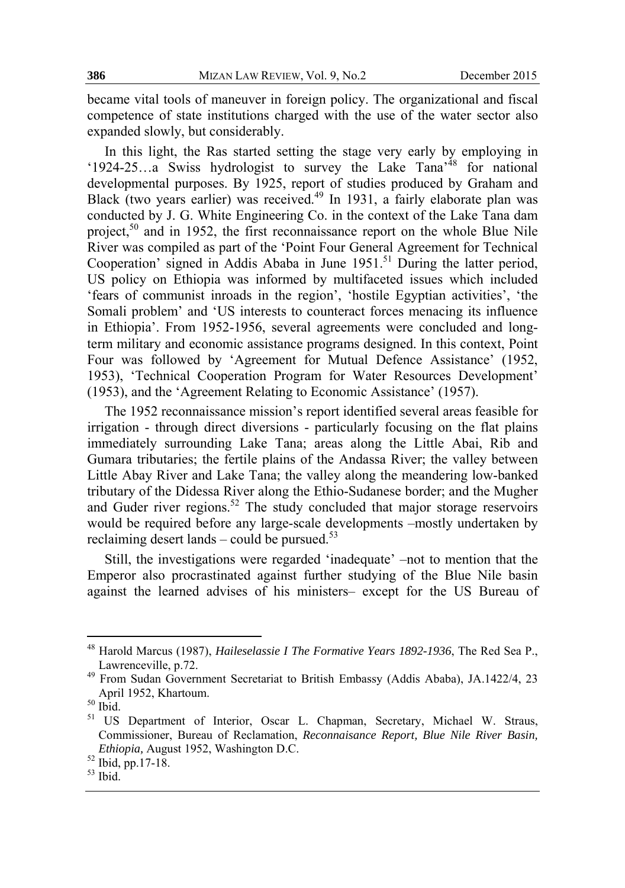became vital tools of maneuver in foreign policy. The organizational and fiscal competence of state institutions charged with the use of the water sector also expanded slowly, but considerably.

In this light, the Ras started setting the stage very early by employing in '1924-25…a Swiss hydrologist to survey the Lake Tana'48 for national developmental purposes. By 1925, report of studies produced by Graham and Black (two years earlier) was received.<sup>49</sup> In 1931, a fairly elaborate plan was conducted by J. G. White Engineering Co. in the context of the Lake Tana dam project,<sup>50</sup> and in 1952, the first reconnaissance report on the whole Blue Nile River was compiled as part of the 'Point Four General Agreement for Technical Cooperation' signed in Addis Ababa in June  $1951$ <sup>51</sup> During the latter period, US policy on Ethiopia was informed by multifaceted issues which included 'fears of communist inroads in the region', 'hostile Egyptian activities', 'the Somali problem' and 'US interests to counteract forces menacing its influence in Ethiopia'. From 1952-1956, several agreements were concluded and longterm military and economic assistance programs designed. In this context, Point Four was followed by 'Agreement for Mutual Defence Assistance' (1952, 1953), 'Technical Cooperation Program for Water Resources Development' (1953), and the 'Agreement Relating to Economic Assistance' (1957).

The 1952 reconnaissance mission's report identified several areas feasible for irrigation - through direct diversions - particularly focusing on the flat plains immediately surrounding Lake Tana; areas along the Little Abai, Rib and Gumara tributaries; the fertile plains of the Andassa River; the valley between Little Abay River and Lake Tana; the valley along the meandering low-banked tributary of the Didessa River along the Ethio-Sudanese border; and the Mugher and Guder river regions.<sup>52</sup> The study concluded that major storage reservoirs would be required before any large-scale developments –mostly undertaken by reclaiming desert lands – could be pursued. $53$ 

Still, the investigations were regarded 'inadequate' –not to mention that the Emperor also procrastinated against further studying of the Blue Nile basin against the learned advises of his ministers– except for the US Bureau of

<sup>48</sup> Harold Marcus (1987), *Haileselassie I The Formative Years 1892-1936*, The Red Sea P.,

Lawrenceville, p.72. 49 From Sudan Government Secretariat to British Embassy (Addis Ababa), JA.1422/4, 23 April 1952, Khartoum. 50 Ibid.

<sup>51</sup> US Department of Interior, Oscar L. Chapman, Secretary, Michael W. Straus, Commissioner, Bureau of Reclamation, *Reconnaisance Report, Blue Nile River Basin, Ethiopia,* August 1952, Washington D.C. 52 Ibid, pp.17-18.

<sup>53</sup> Ibid.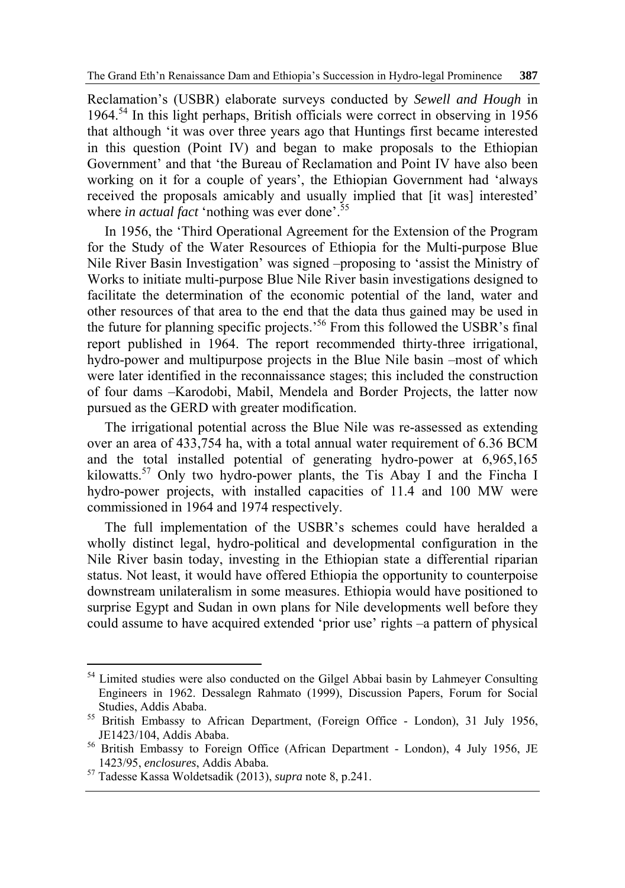Reclamation's (USBR) elaborate surveys conducted by *Sewell and Hough* in 1964.54 In this light perhaps, British officials were correct in observing in 1956 that although 'it was over three years ago that Huntings first became interested in this question (Point IV) and began to make proposals to the Ethiopian Government' and that 'the Bureau of Reclamation and Point IV have also been working on it for a couple of years', the Ethiopian Government had 'always received the proposals amicably and usually implied that [it was] interested' where *in actual fact* 'nothing was ever done'.<sup>55</sup>

In 1956, the 'Third Operational Agreement for the Extension of the Program for the Study of the Water Resources of Ethiopia for the Multi-purpose Blue Nile River Basin Investigation' was signed –proposing to 'assist the Ministry of Works to initiate multi-purpose Blue Nile River basin investigations designed to facilitate the determination of the economic potential of the land, water and other resources of that area to the end that the data thus gained may be used in the future for planning specific projects.'56 From this followed the USBR's final report published in 1964. The report recommended thirty-three irrigational, hydro-power and multipurpose projects in the Blue Nile basin –most of which were later identified in the reconnaissance stages; this included the construction of four dams –Karodobi, Mabil, Mendela and Border Projects, the latter now pursued as the GERD with greater modification.

The irrigational potential across the Blue Nile was re-assessed as extending over an area of 433,754 ha, with a total annual water requirement of 6.36 BCM and the total installed potential of generating hydro-power at 6,965,165 kilowatts.<sup>57</sup> Only two hydro-power plants, the Tis Abay I and the Fincha I hydro-power projects, with installed capacities of 11.4 and 100 MW were commissioned in 1964 and 1974 respectively.

The full implementation of the USBR's schemes could have heralded a wholly distinct legal, hydro-political and developmental configuration in the Nile River basin today, investing in the Ethiopian state a differential riparian status. Not least, it would have offered Ethiopia the opportunity to counterpoise downstream unilateralism in some measures. Ethiopia would have positioned to surprise Egypt and Sudan in own plans for Nile developments well before they could assume to have acquired extended 'prior use' rights –a pattern of physical

1

<sup>&</sup>lt;sup>54</sup> Limited studies were also conducted on the Gilgel Abbai basin by Lahmeyer Consulting Engineers in 1962. Dessalegn Rahmato (1999), Discussion Papers, Forum for Social

Studies, Addis Ababa. 55 British Embassy to African Department, (Foreign Office - London), 31 July 1956,

JE1423/104, Addis Ababa. 56 British Embassy to Foreign Office (African Department - London), 4 July 1956, JE 1423/95, *enclosures*, Addis Ababa. 57 Tadesse Kassa Woldetsadik (2013), *supra* note 8, p.241.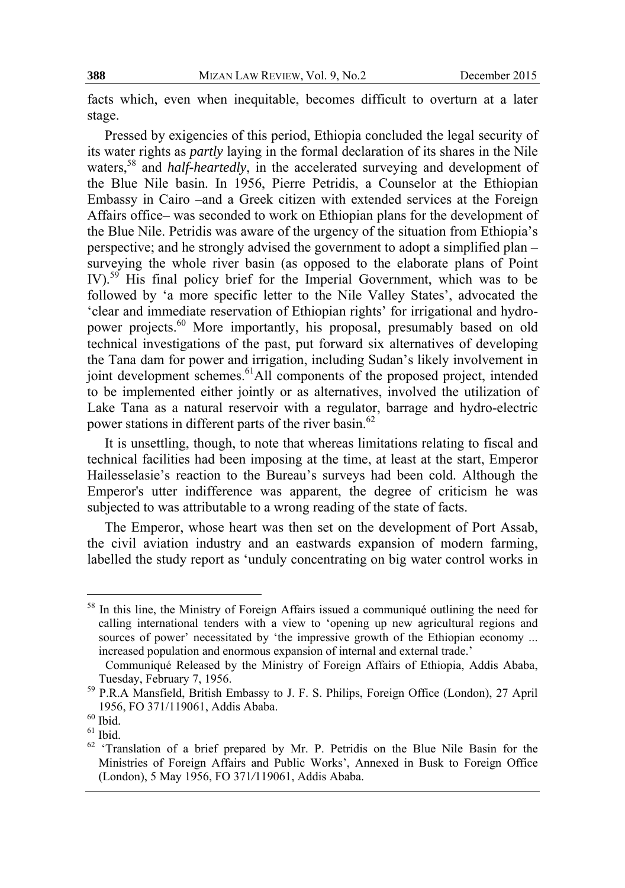facts which, even when inequitable, becomes difficult to overturn at a later stage.

Pressed by exigencies of this period, Ethiopia concluded the legal security of its water rights as *partly* laying in the formal declaration of its shares in the Nile waters,58 and *half-heartedly*, in the accelerated surveying and development of the Blue Nile basin. In 1956, Pierre Petridis, a Counselor at the Ethiopian Embassy in Cairo –and a Greek citizen with extended services at the Foreign Affairs office– was seconded to work on Ethiopian plans for the development of the Blue Nile. Petridis was aware of the urgency of the situation from Ethiopia's perspective; and he strongly advised the government to adopt a simplified plan – surveying the whole river basin (as opposed to the elaborate plans of Point IV).59 His final policy brief for the Imperial Government, which was to be followed by 'a more specific letter to the Nile Valley States', advocated the 'clear and immediate reservation of Ethiopian rights' for irrigational and hydropower projects.<sup>60</sup> More importantly, his proposal, presumably based on old technical investigations of the past, put forward six alternatives of developing the Tana dam for power and irrigation, including Sudan's likely involvement in joint development schemes.<sup>61</sup>All components of the proposed project, intended to be implemented either jointly or as alternatives, involved the utilization of Lake Tana as a natural reservoir with a regulator, barrage and hydro-electric power stations in different parts of the river basin.<sup>62</sup>

It is unsettling, though, to note that whereas limitations relating to fiscal and technical facilities had been imposing at the time, at least at the start, Emperor Hailesselasie's reaction to the Bureau's surveys had been cold. Although the Emperor's utter indifference was apparent, the degree of criticism he was subjected to was attributable to a wrong reading of the state of facts.

The Emperor, whose heart was then set on the development of Port Assab, the civil aviation industry and an eastwards expansion of modern farming, labelled the study report as 'unduly concentrating on big water control works in

<sup>58</sup> In this line, the Ministry of Foreign Affairs issued a communiqué outlining the need for calling international tenders with a view to 'opening up new agricultural regions and sources of power' necessitated by 'the impressive growth of the Ethiopian economy ... increased population and enormous expansion of internal and external trade.'

Communiqué Released by the Ministry of Foreign Affairs of Ethiopia, Addis Ababa,

Tuesday, February 7, 1956. 59 P.R.A Mansfield, British Embassy to J. F. S. Philips, Foreign Office (London), 27 April 1956, FO 371/119061, Addis Ababa. $^{\rm 60}$ Ibid

 $61$  Ibid.

<sup>&</sup>lt;sup>62</sup> 'Translation of a brief prepared by Mr. P. Petridis on the Blue Nile Basin for the Ministries of Foreign Affairs and Public Works', Annexed in Busk to Foreign Office (London), 5 May 1956, FO 371*/*119061, Addis Ababa.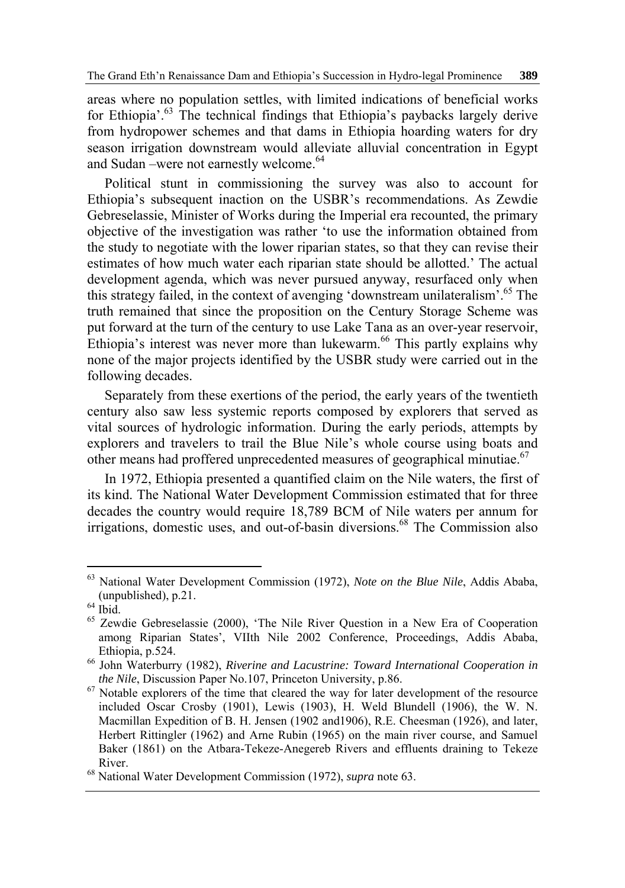areas where no population settles, with limited indications of beneficial works for Ethiopia'.<sup>63</sup> The technical findings that Ethiopia's paybacks largely derive from hydropower schemes and that dams in Ethiopia hoarding waters for dry season irrigation downstream would alleviate alluvial concentration in Egypt and Sudan –were not earnestly welcome.<sup>64</sup>

Political stunt in commissioning the survey was also to account for Ethiopia's subsequent inaction on the USBR's recommendations. As Zewdie Gebreselassie, Minister of Works during the Imperial era recounted, the primary objective of the investigation was rather 'to use the information obtained from the study to negotiate with the lower riparian states, so that they can revise their estimates of how much water each riparian state should be allotted.' The actual development agenda, which was never pursued anyway, resurfaced only when this strategy failed, in the context of avenging 'downstream unilateralism'.65 The truth remained that since the proposition on the Century Storage Scheme was put forward at the turn of the century to use Lake Tana as an over-year reservoir, Ethiopia's interest was never more than lukewarm.<sup>66</sup> This partly explains why none of the major projects identified by the USBR study were carried out in the following decades.

Separately from these exertions of the period, the early years of the twentieth century also saw less systemic reports composed by explorers that served as vital sources of hydrologic information. During the early periods, attempts by explorers and travelers to trail the Blue Nile's whole course using boats and other means had proffered unprecedented measures of geographical minutiae.<sup>67</sup>

In 1972, Ethiopia presented a quantified claim on the Nile waters, the first of its kind. The National Water Development Commission estimated that for three decades the country would require 18,789 BCM of Nile waters per annum for irrigations, domestic uses, and out-of-basin diversions.<sup>68</sup> The Commission also

<sup>63</sup> National Water Development Commission (1972), *Note on the Blue Nile*, Addis Ababa, (unpublished), p.21. 64 Ibid.

<sup>65</sup> Zewdie Gebreselassie (2000), 'The Nile River Question in a New Era of Cooperation among Riparian States', VIIth Nile 2002 Conference, Proceedings, Addis Ababa,

Ethiopia, p.524. 66 John Waterburry (1982), *Riverine and Lacustrine: Toward International Cooperation in* 

*the Nile*, Discussion Paper No.107, Princeton University, p.86. <sup>67</sup> Notable explorers of the time that cleared the way for later development of the resource included Oscar Crosby (1901), Lewis (1903), H. Weld Blundell (1906), the W. N. Macmillan Expedition of B. H. Jensen (1902 and1906), R.E. Cheesman (1926), and later, Herbert Rittingler (1962) and Arne Rubin (1965) on the main river course, and Samuel Baker (1861) on the Atbara-Tekeze-Anegereb Rivers and effluents draining to Tekeze River. 68 National Water Development Commission (1972), *supra* note 63.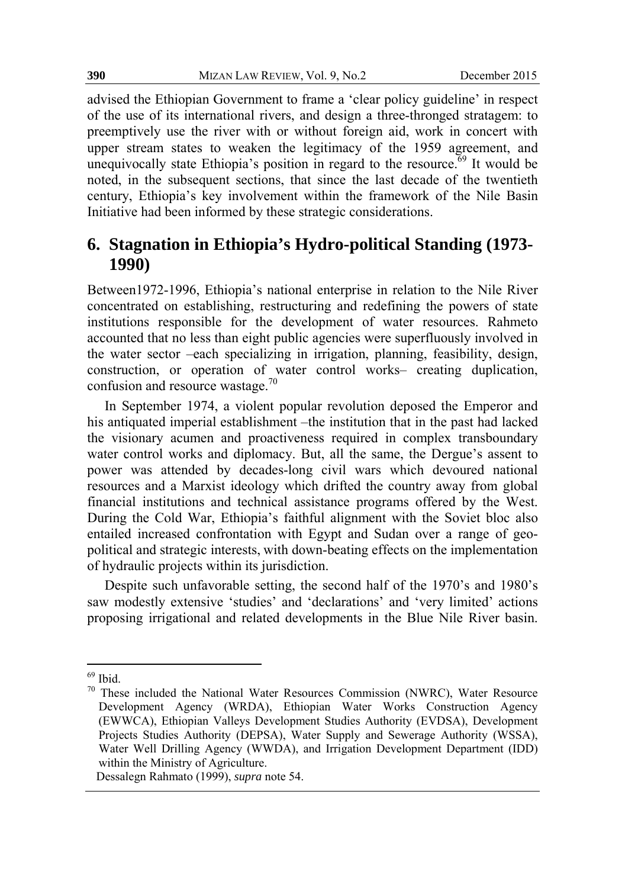advised the Ethiopian Government to frame a 'clear policy guideline' in respect of the use of its international rivers, and design a three-thronged stratagem: to preemptively use the river with or without foreign aid, work in concert with upper stream states to weaken the legitimacy of the 1959 agreement, and unequivocally state Ethiopia's position in regard to the resource.<sup>69</sup> It would be noted, in the subsequent sections, that since the last decade of the twentieth century, Ethiopia's key involvement within the framework of the Nile Basin Initiative had been informed by these strategic considerations.

## **6. Stagnation in Ethiopia's Hydro-political Standing (1973- 1990)**

Between1972-1996, Ethiopia's national enterprise in relation to the Nile River concentrated on establishing, restructuring and redefining the powers of state institutions responsible for the development of water resources. Rahmeto accounted that no less than eight public agencies were superfluously involved in the water sector –each specializing in irrigation, planning, feasibility, design, construction, or operation of water control works– creating duplication, confusion and resource wastage. $70$ 

In September 1974, a violent popular revolution deposed the Emperor and his antiquated imperial establishment –the institution that in the past had lacked the visionary acumen and proactiveness required in complex transboundary water control works and diplomacy. But, all the same, the Dergue's assent to power was attended by decades-long civil wars which devoured national resources and a Marxist ideology which drifted the country away from global financial institutions and technical assistance programs offered by the West. During the Cold War, Ethiopia's faithful alignment with the Soviet bloc also entailed increased confrontation with Egypt and Sudan over a range of geopolitical and strategic interests, with down-beating effects on the implementation of hydraulic projects within its jurisdiction.

Despite such unfavorable setting, the second half of the 1970's and 1980's saw modestly extensive 'studies' and 'declarations' and 'very limited' actions proposing irrigational and related developments in the Blue Nile River basin.

1

Dessalegn Rahmato (1999), *supra* note 54.

 $69$  Ibid.

<sup>70</sup> These included the National Water Resources Commission (NWRC), Water Resource Development Agency (WRDA), Ethiopian Water Works Construction Agency (EWWCA), Ethiopian Valleys Development Studies Authority (EVDSA), Development Projects Studies Authority (DEPSA), Water Supply and Sewerage Authority (WSSA), Water Well Drilling Agency (WWDA), and Irrigation Development Department (IDD) within the Ministry of Agriculture.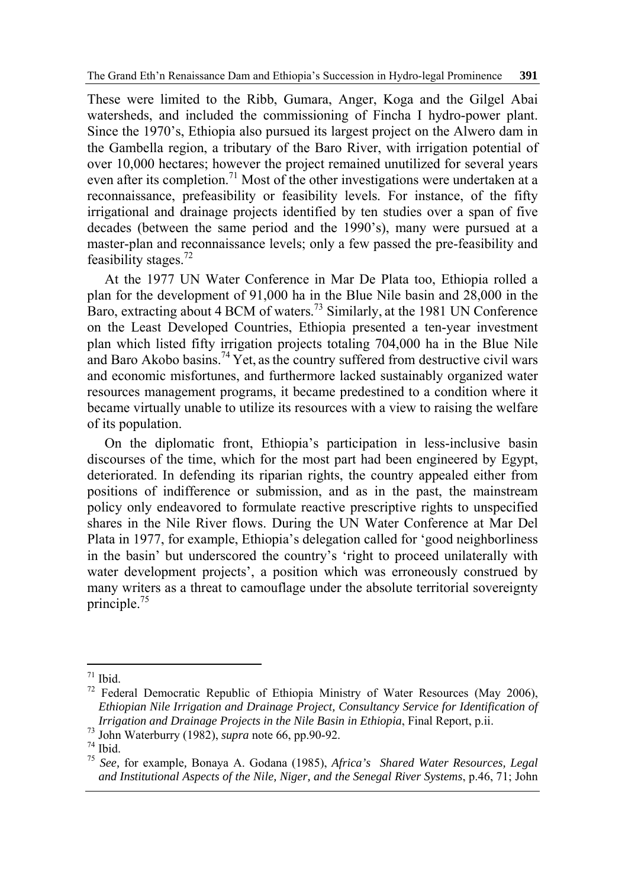These were limited to the Ribb, Gumara, Anger, Koga and the Gilgel Abai watersheds, and included the commissioning of Fincha I hydro-power plant. Since the 1970's, Ethiopia also pursued its largest project on the Alwero dam in the Gambella region, a tributary of the Baro River, with irrigation potential of over 10,000 hectares; however the project remained unutilized for several years even after its completion.<sup>71</sup> Most of the other investigations were undertaken at a reconnaissance, prefeasibility or feasibility levels. For instance, of the fifty irrigational and drainage projects identified by ten studies over a span of five decades (between the same period and the 1990's), many were pursued at a master-plan and reconnaissance levels; only a few passed the pre-feasibility and feasibility stages. $^{72}$ 

At the 1977 UN Water Conference in Mar De Plata too, Ethiopia rolled a plan for the development of 91,000 ha in the Blue Nile basin and 28,000 in the Baro, extracting about 4 BCM of waters.73 Similarly, at the 1981 UN Conference on the Least Developed Countries, Ethiopia presented a ten-year investment plan which listed fifty irrigation projects totaling 704,000 ha in the Blue Nile and Baro Akobo basins.<sup>74</sup> Yet, as the country suffered from destructive civil wars and economic misfortunes, and furthermore lacked sustainably organized water resources management programs, it became predestined to a condition where it became virtually unable to utilize its resources with a view to raising the welfare of its population.

On the diplomatic front, Ethiopia's participation in less-inclusive basin discourses of the time, which for the most part had been engineered by Egypt, deteriorated. In defending its riparian rights, the country appealed either from positions of indifference or submission, and as in the past, the mainstream policy only endeavored to formulate reactive prescriptive rights to unspecified shares in the Nile River flows. During the UN Water Conference at Mar Del Plata in 1977, for example, Ethiopia's delegation called for 'good neighborliness in the basin' but underscored the country's 'right to proceed unilaterally with water development projects', a position which was erroneously construed by many writers as a threat to camouflage under the absolute territorial sovereignty principle.75

1

 $71$  Ibid.

<sup>&</sup>lt;sup>72</sup> Federal Democratic Republic of Ethiopia Ministry of Water Resources (May 2006), *Ethiopian Nile Irrigation and Drainage Project, Consultancy Service for Identification of Irrigation and Drainage Projects in the Nile Basin in Ethiopia*, Final Report, p.ii. <sup>73</sup> John Waterburry (1982), *supra* note 66, pp.90-92. <sup>74</sup> Ibid.

<sup>75</sup> *See,* for example*,* Bonaya A. Godana (1985), *Africa's Shared Water Resources, Legal and Institutional Aspects of the Nile, Niger, and the Senegal River Systems*, p.46, 71; John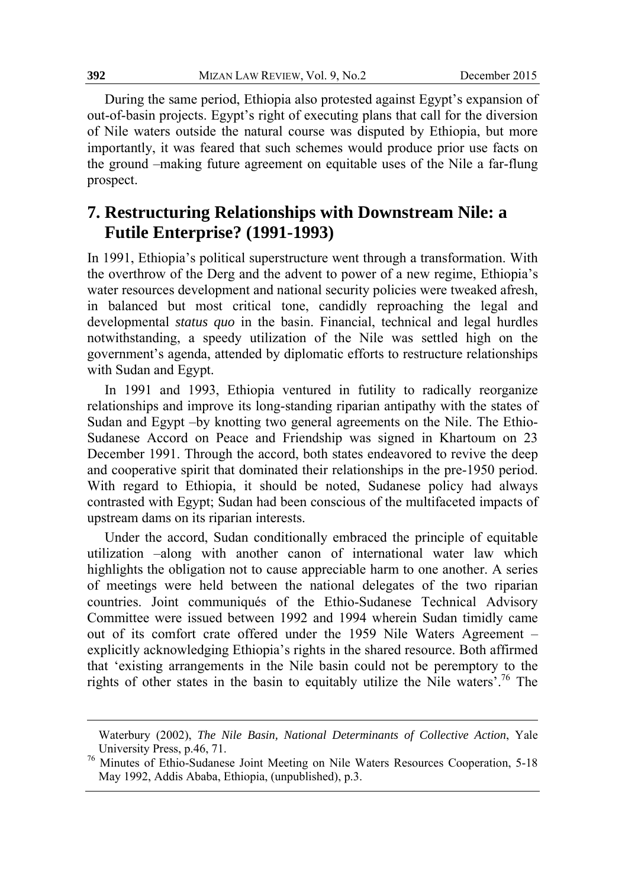During the same period, Ethiopia also protested against Egypt's expansion of out-of-basin projects. Egypt's right of executing plans that call for the diversion of Nile waters outside the natural course was disputed by Ethiopia, but more importantly, it was feared that such schemes would produce prior use facts on the ground –making future agreement on equitable uses of the Nile a far-flung prospect.

### **7. Restructuring Relationships with Downstream Nile: a Futile Enterprise? (1991-1993)**

In 1991, Ethiopia's political superstructure went through a transformation. With the overthrow of the Derg and the advent to power of a new regime, Ethiopia's water resources development and national security policies were tweaked afresh, in balanced but most critical tone, candidly reproaching the legal and developmental *status quo* in the basin. Financial, technical and legal hurdles notwithstanding, a speedy utilization of the Nile was settled high on the government's agenda, attended by diplomatic efforts to restructure relationships with Sudan and Egypt.

In 1991 and 1993, Ethiopia ventured in futility to radically reorganize relationships and improve its long-standing riparian antipathy with the states of Sudan and Egypt –by knotting two general agreements on the Nile. The Ethio-Sudanese Accord on Peace and Friendship was signed in Khartoum on 23 December 1991. Through the accord, both states endeavored to revive the deep and cooperative spirit that dominated their relationships in the pre-1950 period. With regard to Ethiopia, it should be noted, Sudanese policy had always contrasted with Egypt; Sudan had been conscious of the multifaceted impacts of upstream dams on its riparian interests.

Under the accord, Sudan conditionally embraced the principle of equitable utilization –along with another canon of international water law which highlights the obligation not to cause appreciable harm to one another. A series of meetings were held between the national delegates of the two riparian countries. Joint communiqués of the Ethio-Sudanese Technical Advisory Committee were issued between 1992 and 1994 wherein Sudan timidly came out of its comfort crate offered under the 1959 Nile Waters Agreement – explicitly acknowledging Ethiopia's rights in the shared resource. Both affirmed that 'existing arrangements in the Nile basin could not be peremptory to the rights of other states in the basin to equitably utilize the Nile waters'.<sup>76</sup> The

Waterbury (2002), *The Nile Basin, National Determinants of Collective Action*, Yale

University Press, p.46, 71. 76 Minutes of Ethio-Sudanese Joint Meeting on Nile Waters Resources Cooperation, 5-18 May 1992, Addis Ababa, Ethiopia, (unpublished), p.3.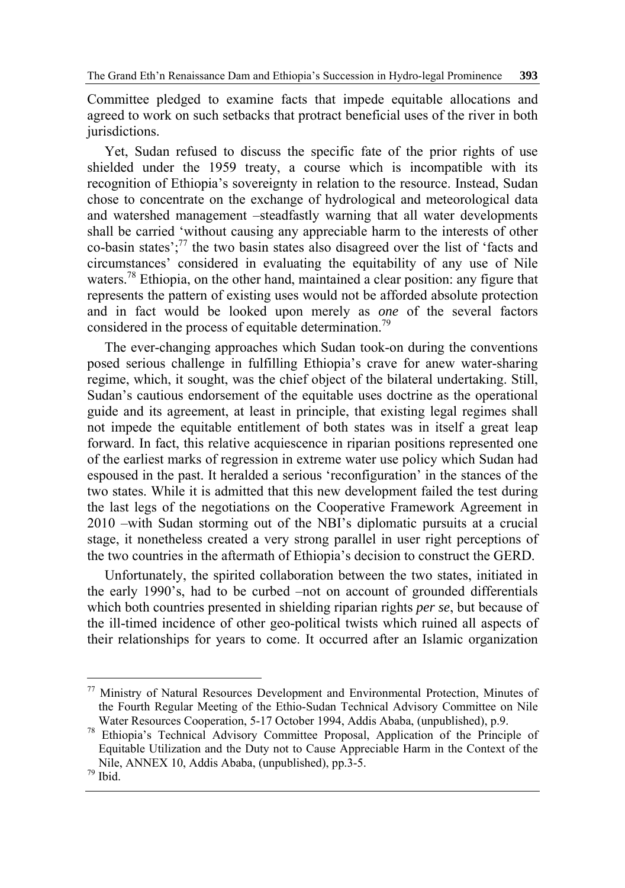Committee pledged to examine facts that impede equitable allocations and agreed to work on such setbacks that protract beneficial uses of the river in both jurisdictions.

Yet, Sudan refused to discuss the specific fate of the prior rights of use shielded under the 1959 treaty, a course which is incompatible with its recognition of Ethiopia's sovereignty in relation to the resource. Instead, Sudan chose to concentrate on the exchange of hydrological and meteorological data and watershed management –steadfastly warning that all water developments shall be carried 'without causing any appreciable harm to the interests of other co-basin states';77 the two basin states also disagreed over the list of 'facts and circumstances' considered in evaluating the equitability of any use of Nile waters.<sup>78</sup> Ethiopia, on the other hand, maintained a clear position: any figure that represents the pattern of existing uses would not be afforded absolute protection and in fact would be looked upon merely as *one* of the several factors considered in the process of equitable determination.<sup>79</sup>

The ever-changing approaches which Sudan took-on during the conventions posed serious challenge in fulfilling Ethiopia's crave for anew water-sharing regime, which, it sought, was the chief object of the bilateral undertaking. Still, Sudan's cautious endorsement of the equitable uses doctrine as the operational guide and its agreement, at least in principle, that existing legal regimes shall not impede the equitable entitlement of both states was in itself a great leap forward. In fact, this relative acquiescence in riparian positions represented one of the earliest marks of regression in extreme water use policy which Sudan had espoused in the past. It heralded a serious 'reconfiguration' in the stances of the two states. While it is admitted that this new development failed the test during the last legs of the negotiations on the Cooperative Framework Agreement in 2010 –with Sudan storming out of the NBI's diplomatic pursuits at a crucial stage, it nonetheless created a very strong parallel in user right perceptions of the two countries in the aftermath of Ethiopia's decision to construct the GERD.

Unfortunately, the spirited collaboration between the two states, initiated in the early 1990's, had to be curbed –not on account of grounded differentials which both countries presented in shielding riparian rights *per se*, but because of the ill-timed incidence of other geo-political twists which ruined all aspects of their relationships for years to come. It occurred after an Islamic organization

<sup>&</sup>lt;sup>77</sup> Ministry of Natural Resources Development and Environmental Protection, Minutes of the Fourth Regular Meeting of the Ethio-Sudan Technical Advisory Committee on Nile

Water Resources Cooperation, 5-17 October 1994, Addis Ababa, (unpublished), p.9. 78 Ethiopia's Technical Advisory Committee Proposal, Application of the Principle of Equitable Utilization and the Duty not to Cause Appreciable Harm in the Context of the Nile, ANNEX 10, Addis Ababa, (unpublished), pp.3-5. 79 Ibid.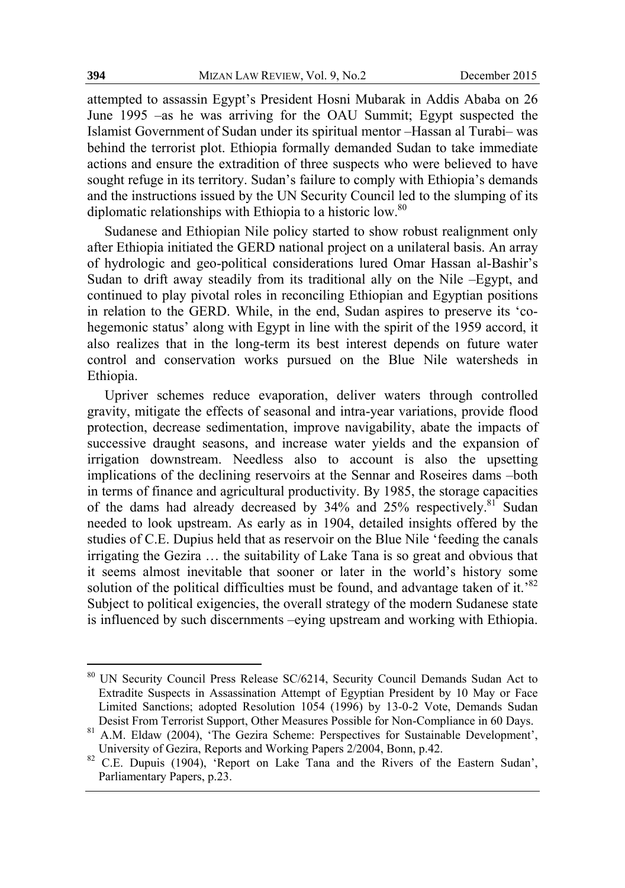attempted to assassin Egypt's President Hosni Mubarak in Addis Ababa on 26 June 1995 –as he was arriving for the OAU Summit; Egypt suspected the Islamist Government of Sudan under its spiritual mentor –Hassan al Turabi– was behind the terrorist plot. Ethiopia formally demanded Sudan to take immediate actions and ensure the extradition of three suspects who were believed to have sought refuge in its territory. Sudan's failure to comply with Ethiopia's demands and the instructions issued by the UN Security Council led to the slumping of its diplomatic relationships with Ethiopia to a historic low.<sup>80</sup>

Sudanese and Ethiopian Nile policy started to show robust realignment only after Ethiopia initiated the GERD national project on a unilateral basis. An array of hydrologic and geo-political considerations lured Omar Hassan al-Bashir's Sudan to drift away steadily from its traditional ally on the Nile –Egypt, and continued to play pivotal roles in reconciling Ethiopian and Egyptian positions in relation to the GERD. While, in the end, Sudan aspires to preserve its 'cohegemonic status' along with Egypt in line with the spirit of the 1959 accord, it also realizes that in the long-term its best interest depends on future water control and conservation works pursued on the Blue Nile watersheds in Ethiopia.

Upriver schemes reduce evaporation, deliver waters through controlled gravity, mitigate the effects of seasonal and intra-year variations, provide flood protection, decrease sedimentation, improve navigability, abate the impacts of successive draught seasons, and increase water yields and the expansion of irrigation downstream. Needless also to account is also the upsetting implications of the declining reservoirs at the Sennar and Roseires dams –both in terms of finance and agricultural productivity. By 1985, the storage capacities of the dams had already decreased by  $34\%$  and  $25\%$  respectively.<sup>81</sup> Sudan needed to look upstream. As early as in 1904, detailed insights offered by the studies of C.E. Dupius held that as reservoir on the Blue Nile 'feeding the canals irrigating the Gezira … the suitability of Lake Tana is so great and obvious that it seems almost inevitable that sooner or later in the world's history some solution of the political difficulties must be found, and advantage taken of it.<sup>82</sup> Subject to political exigencies, the overall strategy of the modern Sudanese state is influenced by such discernments –eying upstream and working with Ethiopia.

1

<sup>&</sup>lt;sup>80</sup> UN Security Council Press Release SC/6214, Security Council Demands Sudan Act to Extradite Suspects in Assassination Attempt of Egyptian President by 10 May or Face Limited Sanctions; adopted Resolution 1054 (1996) by 13-0-2 Vote, Demands Sudan

Desist From Terrorist Support, Other Measures Possible for Non-Compliance in 60 Days. A.M. Eldaw (2004), 'The Gezira Scheme: Perspectives for Sustainable Development',

University of Gezira, Reports and Working Papers 2/2004, Bonn, p.42. 82 C.E. Dupuis (1904), 'Report on Lake Tana and the Rivers of the Eastern Sudan', Parliamentary Papers, p.23.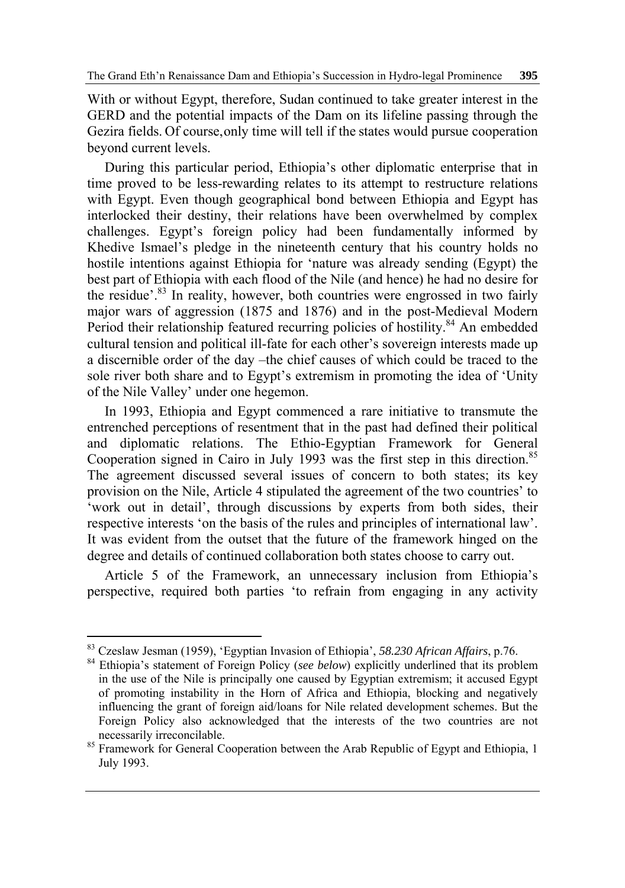With or without Egypt, therefore, Sudan continued to take greater interest in the GERD and the potential impacts of the Dam on its lifeline passing through the Gezira fields. Of course,only time will tell if the states would pursue cooperation beyond current levels.

During this particular period, Ethiopia's other diplomatic enterprise that in time proved to be less-rewarding relates to its attempt to restructure relations with Egypt. Even though geographical bond between Ethiopia and Egypt has interlocked their destiny, their relations have been overwhelmed by complex challenges. Egypt's foreign policy had been fundamentally informed by Khedive Ismael's pledge in the nineteenth century that his country holds no hostile intentions against Ethiopia for 'nature was already sending (Egypt) the best part of Ethiopia with each flood of the Nile (and hence) he had no desire for the residue'.83 In reality, however, both countries were engrossed in two fairly major wars of aggression (1875 and 1876) and in the post-Medieval Modern Period their relationship featured recurring policies of hostility.<sup>84</sup> An embedded cultural tension and political ill-fate for each other's sovereign interests made up a discernible order of the day –the chief causes of which could be traced to the sole river both share and to Egypt's extremism in promoting the idea of 'Unity of the Nile Valley' under one hegemon.

In 1993, Ethiopia and Egypt commenced a rare initiative to transmute the entrenched perceptions of resentment that in the past had defined their political and diplomatic relations. The Ethio-Egyptian Framework for General Cooperation signed in Cairo in July 1993 was the first step in this direction.<sup>85</sup> The agreement discussed several issues of concern to both states; its key provision on the Nile, Article 4 stipulated the agreement of the two countries' to 'work out in detail', through discussions by experts from both sides, their respective interests 'on the basis of the rules and principles of international law'. It was evident from the outset that the future of the framework hinged on the degree and details of continued collaboration both states choose to carry out.

Article 5 of the Framework, an unnecessary inclusion from Ethiopia's perspective, required both parties 'to refrain from engaging in any activity

<sup>83</sup> Czeslaw Jesman (1959), 'Egyptian Invasion of Ethiopia', *58.230 African Affairs*, p.76. 84 Ethiopia's statement of Foreign Policy (*see below*) explicitly underlined that its problem in the use of the Nile is principally one caused by Egyptian extremism; it accused Egypt of promoting instability in the Horn of Africa and Ethiopia, blocking and negatively influencing the grant of foreign aid/loans for Nile related development schemes. But the Foreign Policy also acknowledged that the interests of the two countries are not

necessarily irreconcilable.<br><sup>85</sup> Framework for General Cooperation between the Arab Republic of Egypt and Ethiopia, 1 July 1993.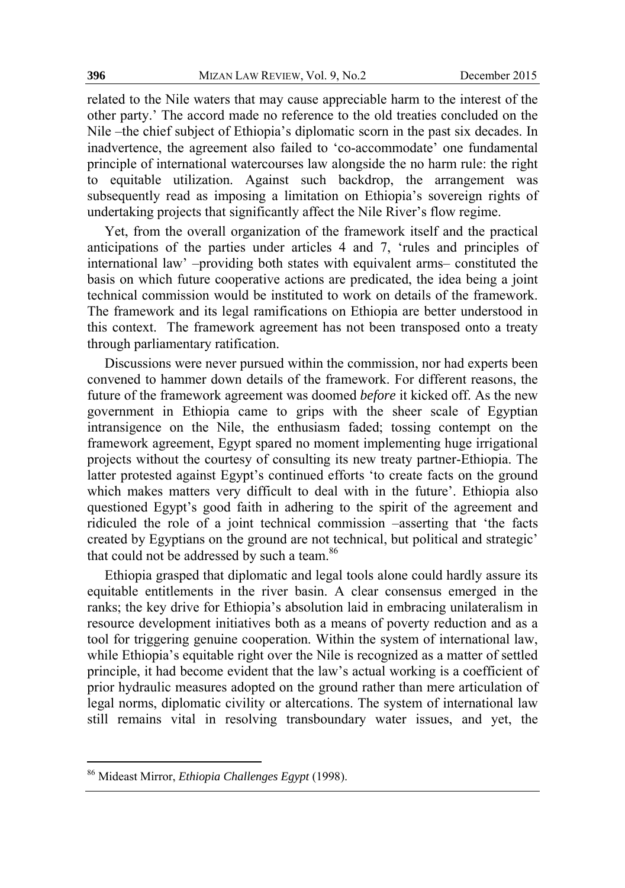related to the Nile waters that may cause appreciable harm to the interest of the other party.' The accord made no reference to the old treaties concluded on the Nile –the chief subject of Ethiopia's diplomatic scorn in the past six decades. In inadvertence, the agreement also failed to 'co-accommodate' one fundamental principle of international watercourses law alongside the no harm rule: the right to equitable utilization. Against such backdrop, the arrangement was subsequently read as imposing a limitation on Ethiopia's sovereign rights of undertaking projects that significantly affect the Nile River's flow regime.

Yet, from the overall organization of the framework itself and the practical anticipations of the parties under articles 4 and 7, 'rules and principles of international law' –providing both states with equivalent arms– constituted the basis on which future cooperative actions are predicated, the idea being a joint technical commission would be instituted to work on details of the framework. The framework and its legal ramifications on Ethiopia are better understood in this context. The framework agreement has not been transposed onto a treaty through parliamentary ratification.

Discussions were never pursued within the commission, nor had experts been convened to hammer down details of the framework. For different reasons, the future of the framework agreement was doomed *before* it kicked off. As the new government in Ethiopia came to grips with the sheer scale of Egyptian intransigence on the Nile, the enthusiasm faded; tossing contempt on the framework agreement, Egypt spared no moment implementing huge irrigational projects without the courtesy of consulting its new treaty partner-Ethiopia. The latter protested against Egypt's continued efforts 'to create facts on the ground which makes matters very difficult to deal with in the future'. Ethiopia also questioned Egypt's good faith in adhering to the spirit of the agreement and ridiculed the role of a joint technical commission –asserting that 'the facts created by Egyptians on the ground are not technical, but political and strategic' that could not be addressed by such a team.<sup>86</sup>

Ethiopia grasped that diplomatic and legal tools alone could hardly assure its equitable entitlements in the river basin. A clear consensus emerged in the ranks; the key drive for Ethiopia's absolution laid in embracing unilateralism in resource development initiatives both as a means of poverty reduction and as a tool for triggering genuine cooperation. Within the system of international law, while Ethiopia's equitable right over the Nile is recognized as a matter of settled principle, it had become evident that the law's actual working is a coefficient of prior hydraulic measures adopted on the ground rather than mere articulation of legal norms, diplomatic civility or altercations. The system of international law still remains vital in resolving transboundary water issues, and yet, the

<sup>86</sup> Mideast Mirror, *Ethiopia Challenges Egypt* (1998).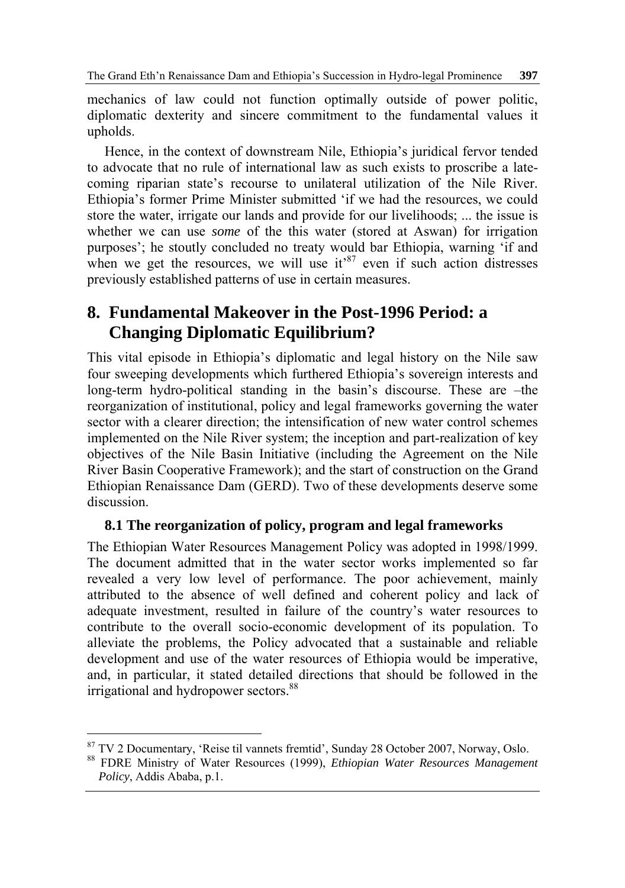mechanics of law could not function optimally outside of power politic, diplomatic dexterity and sincere commitment to the fundamental values it upholds.

Hence, in the context of downstream Nile, Ethiopia's juridical fervor tended to advocate that no rule of international law as such exists to proscribe a latecoming riparian state's recourse to unilateral utilization of the Nile River. Ethiopia's former Prime Minister submitted 'if we had the resources, we could store the water, irrigate our lands and provide for our livelihoods; ... the issue is whether we can use *some* of the this water (stored at Aswan) for irrigation purposes'; he stoutly concluded no treaty would bar Ethiopia, warning 'if and when we get the resources, we will use  $it^{87}$  even if such action distresses previously established patterns of use in certain measures.

## **8. Fundamental Makeover in the Post-1996 Period: a Changing Diplomatic Equilibrium?**

This vital episode in Ethiopia's diplomatic and legal history on the Nile saw four sweeping developments which furthered Ethiopia's sovereign interests and long-term hydro-political standing in the basin's discourse. These are –the reorganization of institutional, policy and legal frameworks governing the water sector with a clearer direction; the intensification of new water control schemes implemented on the Nile River system; the inception and part-realization of key objectives of the Nile Basin Initiative (including the Agreement on the Nile River Basin Cooperative Framework); and the start of construction on the Grand Ethiopian Renaissance Dam (GERD). Two of these developments deserve some discussion.

#### **8.1 The reorganization of policy, program and legal frameworks**

The Ethiopian Water Resources Management Policy was adopted in 1998/1999. The document admitted that in the water sector works implemented so far revealed a very low level of performance. The poor achievement, mainly attributed to the absence of well defined and coherent policy and lack of adequate investment, resulted in failure of the country's water resources to contribute to the overall socio-economic development of its population. To alleviate the problems, the Policy advocated that a sustainable and reliable development and use of the water resources of Ethiopia would be imperative, and, in particular, it stated detailed directions that should be followed in the irrigational and hydropower sectors.<sup>88</sup>

<sup>87</sup> TV 2 Documentary, 'Reise til vannets fremtid', Sunday 28 October 2007, Norway, Oslo.

<sup>88</sup> FDRE Ministry of Water Resources (1999), *Ethiopian Water Resources Management Policy*, Addis Ababa, p.1.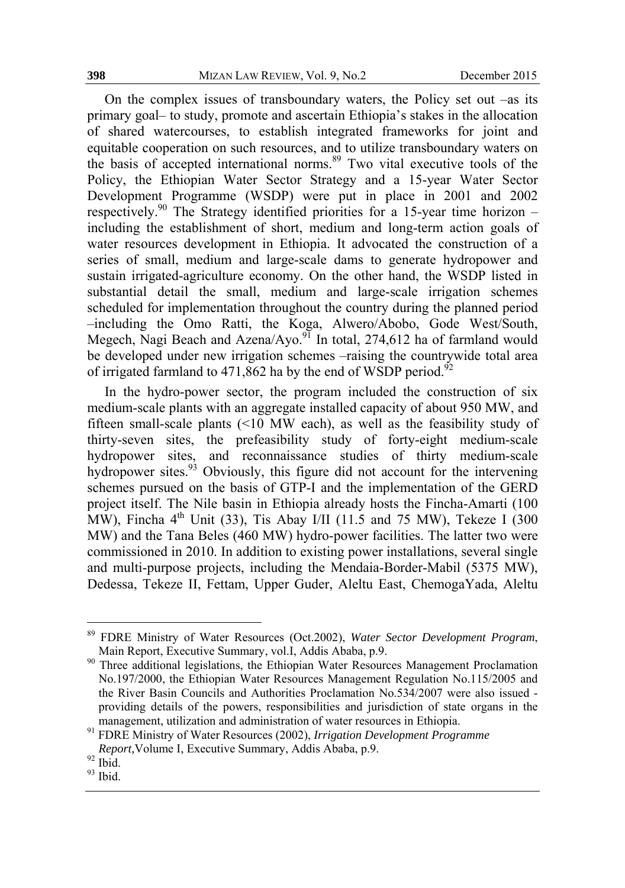On the complex issues of transboundary waters, the Policy set out –as its primary goal– to study, promote and ascertain Ethiopia's stakes in the allocation of shared watercourses, to establish integrated frameworks for joint and equitable cooperation on such resources, and to utilize transboundary waters on the basis of accepted international norms. $89$  Two vital executive tools of the Policy, the Ethiopian Water Sector Strategy and a 15-year Water Sector Development Programme (WSDP) were put in place in 2001 and 2002 respectively.<sup>90</sup> The Strategy identified priorities for a 15-year time horizon – including the establishment of short, medium and long-term action goals of water resources development in Ethiopia. It advocated the construction of a series of small, medium and large-scale dams to generate hydropower and sustain irrigated-agriculture economy. On the other hand, the WSDP listed in substantial detail the small, medium and large-scale irrigation schemes scheduled for implementation throughout the country during the planned period –including the Omo Ratti, the Koga, Alwero/Abobo, Gode West/South, Megech, Nagi Beach and Azena/Ayo.<sup>91</sup> In total, 274,612 ha of farmland would be developed under new irrigation schemes –raising the countrywide total area of irrigated farmland to 471,862 ha by the end of WSDP period.<sup>92</sup>

In the hydro-power sector, the program included the construction of six medium-scale plants with an aggregate installed capacity of about 950 MW, and fifteen small-scale plants (<10 MW each), as well as the feasibility study of thirty-seven sites, the prefeasibility study of forty-eight medium-scale hydropower sites, and reconnaissance studies of thirty medium-scale hydropower sites.  $93$  Obviously, this figure did not account for the intervening schemes pursued on the basis of GTP-I and the implementation of the GERD project itself. The Nile basin in Ethiopia already hosts the Fincha-Amarti (100 MW), Fincha  $4<sup>th</sup>$  Unit (33), Tis Abay I/II (11.5 and 75 MW), Tekeze I (300) MW) and the Tana Beles (460 MW) hydro-power facilities. The latter two were commissioned in 2010. In addition to existing power installations, several single and multi-purpose projects, including the Mendaia-Border-Mabil (5375 MW), Dedessa, Tekeze II, Fettam, Upper Guder, Aleltu East, ChemogaYada, Aleltu

<u>.</u>

93 Ibid.

<sup>89</sup> FDRE Ministry of Water Resources (Oct.2002), *Water Sector Development Program*,

Main Report, Executive Summary, vol.I, Addis Ababa, p.9.<br><sup>90</sup> Three additional legislations, the Ethiopian Water Resources Management Proclamation No.197/2000, the Ethiopian Water Resources Management Regulation No.115/2005 and the River Basin Councils and Authorities Proclamation No.534/2007 were also issued providing details of the powers, responsibilities and jurisdiction of state organs in the

management, utilization and administration of water resources in Ethiopia. FDRE Ministry of Water Resources (2002), *Irrigation Development Programme Report,* Volume I, Executive Summary, Addis Ababa, p.9. <sup>92</sup> Ibid.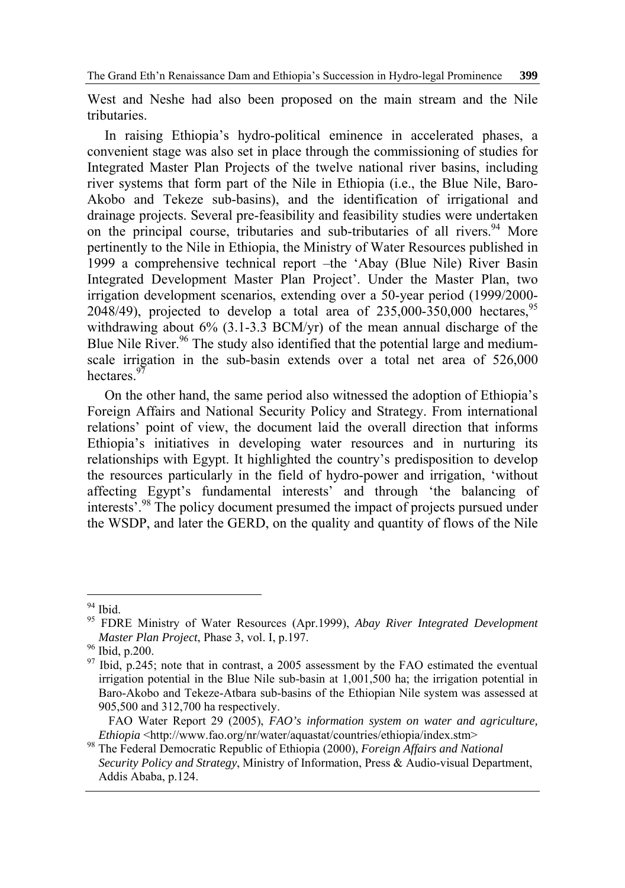West and Neshe had also been proposed on the main stream and the Nile tributaries.

In raising Ethiopia's hydro-political eminence in accelerated phases, a convenient stage was also set in place through the commissioning of studies for Integrated Master Plan Projects of the twelve national river basins, including river systems that form part of the Nile in Ethiopia (i.e., the Blue Nile, Baro-Akobo and Tekeze sub-basins), and the identification of irrigational and drainage projects. Several pre-feasibility and feasibility studies were undertaken on the principal course, tributaries and sub-tributaries of all rivers.<sup>94</sup> More pertinently to the Nile in Ethiopia, the Ministry of Water Resources published in 1999 a comprehensive technical report –the 'Abay (Blue Nile) River Basin Integrated Development Master Plan Project'. Under the Master Plan, two irrigation development scenarios, extending over a 50-year period (1999/2000- 2048/49), projected to develop a total area of  $235,000$ -350,000 hectares.<sup>95</sup> withdrawing about 6% (3.1-3.3 BCM/yr) of the mean annual discharge of the Blue Nile River.<sup>96</sup> The study also identified that the potential large and mediumscale irrigation in the sub-basin extends over a total net area of 526,000 hectares.<sup>97</sup>

On the other hand, the same period also witnessed the adoption of Ethiopia's Foreign Affairs and National Security Policy and Strategy. From international relations' point of view, the document laid the overall direction that informs Ethiopia's initiatives in developing water resources and in nurturing its relationships with Egypt. It highlighted the country's predisposition to develop the resources particularly in the field of hydro-power and irrigation, 'without affecting Egypt's fundamental interests' and through 'the balancing of interests'.<sup>98</sup> The policy document presumed the impact of projects pursued under the WSDP, and later the GERD, on the quality and quantity of flows of the Nile

<sup>-</sup>94 Ibid.

<sup>95</sup> FDRE Ministry of Water Resources (Apr.1999), *Abay River Integrated Development Master Plan Project*, Phase 3, vol. I, p.197. 96 Ibid, p.200.

 $97$  Ibid, p.245; note that in contrast, a 2005 assessment by the FAO estimated the eventual irrigation potential in the Blue Nile sub-basin at 1,001,500 ha; the irrigation potential in Baro-Akobo and Tekeze-Atbara sub-basins of the Ethiopian Nile system was assessed at 905,500 and 312,700 ha respectively.

FAO Water Report 29 (2005), *FAO's information system on water and agriculture,* 

*Ethiopia* <http://www.fao.org/nr/water/aquastat/countries/ethiopia/index.stm> 98 The Federal Democratic Republic of Ethiopia (2000), *Foreign Affairs and National Security Policy and Strategy*, Ministry of Information, Press & Audio-visual Department, Addis Ababa, p.124.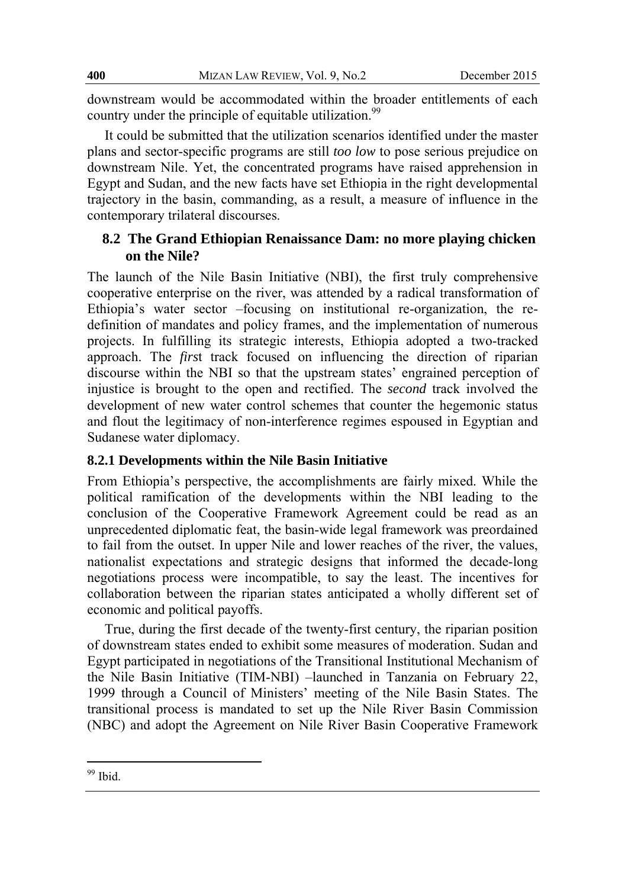downstream would be accommodated within the broader entitlements of each country under the principle of equitable utilization.<sup>99</sup>

It could be submitted that the utilization scenarios identified under the master plans and sector-specific programs are still *too low* to pose serious prejudice on downstream Nile. Yet, the concentrated programs have raised apprehension in Egypt and Sudan, and the new facts have set Ethiopia in the right developmental trajectory in the basin, commanding, as a result, a measure of influence in the contemporary trilateral discourses.

#### **8.2 The Grand Ethiopian Renaissance Dam: no more playing chicken on the Nile?**

The launch of the Nile Basin Initiative (NBI), the first truly comprehensive cooperative enterprise on the river, was attended by a radical transformation of Ethiopia's water sector –focusing on institutional re-organization, the redefinition of mandates and policy frames, and the implementation of numerous projects. In fulfilling its strategic interests, Ethiopia adopted a two-tracked approach. The *firs*t track focused on influencing the direction of riparian discourse within the NBI so that the upstream states' engrained perception of injustice is brought to the open and rectified. The *second* track involved the development of new water control schemes that counter the hegemonic status and flout the legitimacy of non-interference regimes espoused in Egyptian and Sudanese water diplomacy.

#### **8.2.1 Developments within the Nile Basin Initiative**

From Ethiopia's perspective, the accomplishments are fairly mixed. While the political ramification of the developments within the NBI leading to the conclusion of the Cooperative Framework Agreement could be read as an unprecedented diplomatic feat, the basin-wide legal framework was preordained to fail from the outset. In upper Nile and lower reaches of the river, the values, nationalist expectations and strategic designs that informed the decade-long negotiations process were incompatible, to say the least. The incentives for collaboration between the riparian states anticipated a wholly different set of economic and political payoffs.

True, during the first decade of the twenty-first century, the riparian position of downstream states ended to exhibit some measures of moderation. Sudan and Egypt participated in negotiations of the Transitional Institutional Mechanism of the Nile Basin Initiative (TIM-NBI) –launched in Tanzania on February 22, 1999 through a Council of Ministers' meeting of the Nile Basin States. The transitional process is mandated to set up the Nile River Basin Commission (NBC) and adopt the Agreement on Nile River Basin Cooperative Framework

<sup>&</sup>lt;sup>99</sup> Ibid.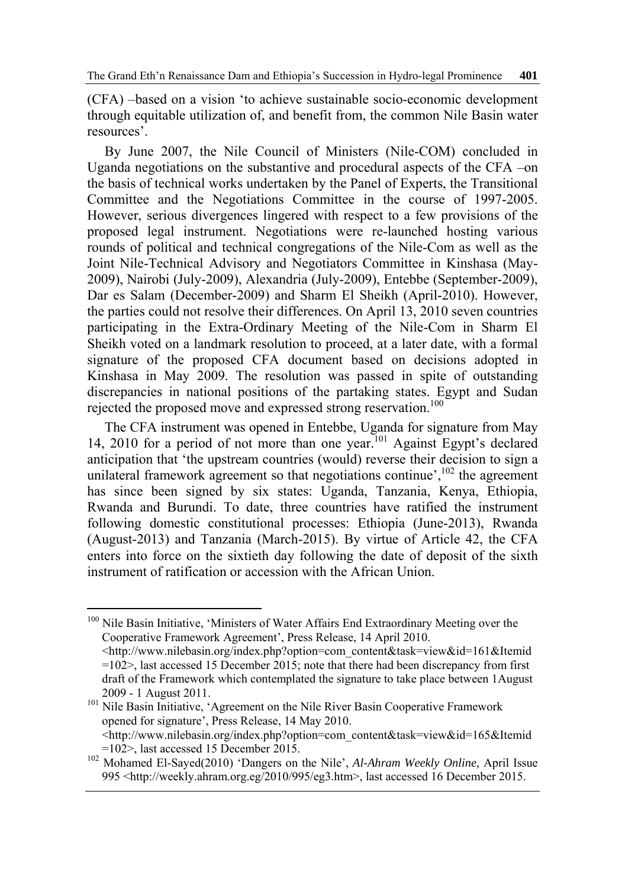(CFA) –based on a vision 'to achieve sustainable socio-economic development through equitable utilization of, and benefit from, the common Nile Basin water resources'.

By June 2007, the Nile Council of Ministers (Nile-COM) concluded in Uganda negotiations on the substantive and procedural aspects of the CFA –on the basis of technical works undertaken by the Panel of Experts, the Transitional Committee and the Negotiations Committee in the course of 1997-2005. However, serious divergences lingered with respect to a few provisions of the proposed legal instrument. Negotiations were re-launched hosting various rounds of political and technical congregations of the Nile-Com as well as the Joint Nile-Technical Advisory and Negotiators Committee in Kinshasa (May-2009), Nairobi (July-2009), Alexandria (July-2009), Entebbe (September-2009), Dar es Salam (December-2009) and Sharm El Sheikh (April-2010). However, the parties could not resolve their differences. On April 13, 2010 seven countries participating in the Extra-Ordinary Meeting of the Nile-Com in Sharm El Sheikh voted on a landmark resolution to proceed, at a later date, with a formal signature of the proposed CFA document based on decisions adopted in Kinshasa in May 2009. The resolution was passed in spite of outstanding discrepancies in national positions of the partaking states. Egypt and Sudan rejected the proposed move and expressed strong reservation.<sup>100</sup>

The CFA instrument was opened in Entebbe, Uganda for signature from May 14, 2010 for a period of not more than one year.<sup>101</sup> Against Egypt's declared anticipation that 'the upstream countries (would) reverse their decision to sign a unilateral framework agreement so that negotiations continue', $102$  the agreement has since been signed by six states: Uganda, Tanzania, Kenya, Ethiopia, Rwanda and Burundi. To date, three countries have ratified the instrument following domestic constitutional processes: Ethiopia (June-2013), Rwanda (August-2013) and Tanzania (March-2015). By virtue of Article 42, the CFA enters into force on the sixtieth day following the date of deposit of the sixth instrument of ratification or accession with the African Union.

<sup>&</sup>lt;sup>100</sup> Nile Basin Initiative, 'Ministers of Water Affairs End Extraordinary Meeting over the Cooperative Framework Agreement', Press Release, 14 April 2010.

<sup>&</sup>lt;http://www.nilebasin.org/index.php?option=com\_content&task=view&id=161&Itemid =102>, last accessed 15 December 2015; note that there had been discrepancy from first draft of the Framework which contemplated the signature to take place between 1August 2009 - 1 August 2011.<br><sup>101</sup> Nile Basin Initiative, 'Agreement on the Nile River Basin Cooperative Framework

opened for signature', Press Release, 14 May 2010.

<sup>&</sup>lt;http://www.nilebasin.org/index.php?option=com\_content&task=view&id=165&Itemid =102>, last accessed 15 December 2015. 102 Mohamed El-Sayed(2010) 'Dangers on the Nile', *Al-Ahram Weekly Online,* April Issue

<sup>995 &</sup>lt;http://weekly.ahram.org.eg/2010/995/eg3.htm>, last accessed 16 December 2015.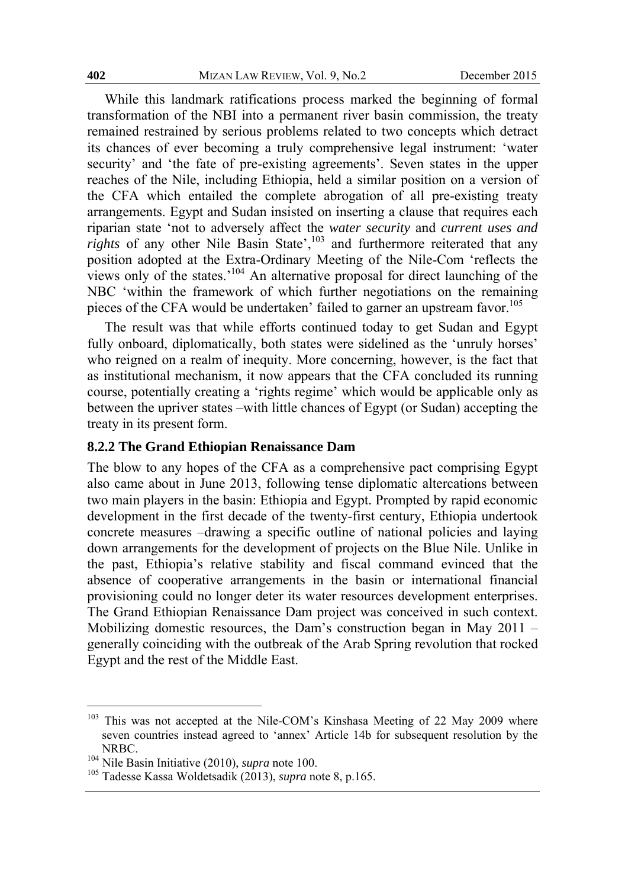While this landmark ratifications process marked the beginning of formal transformation of the NBI into a permanent river basin commission, the treaty remained restrained by serious problems related to two concepts which detract its chances of ever becoming a truly comprehensive legal instrument: 'water security' and 'the fate of pre-existing agreements'. Seven states in the upper reaches of the Nile, including Ethiopia, held a similar position on a version of the CFA which entailed the complete abrogation of all pre-existing treaty arrangements. Egypt and Sudan insisted on inserting a clause that requires each riparian state 'not to adversely affect the *water security* and *current uses and rights* of any other Nile Basin State',<sup>103</sup> and furthermore reiterated that any position adopted at the Extra-Ordinary Meeting of the Nile-Com 'reflects the views only of the states.'104 An alternative proposal for direct launching of the NBC 'within the framework of which further negotiations on the remaining pieces of the CFA would be undertaken' failed to garner an upstream favor.<sup>105</sup>

The result was that while efforts continued today to get Sudan and Egypt fully onboard, diplomatically, both states were sidelined as the 'unruly horses' who reigned on a realm of inequity. More concerning, however, is the fact that as institutional mechanism, it now appears that the CFA concluded its running course, potentially creating a 'rights regime' which would be applicable only as between the upriver states –with little chances of Egypt (or Sudan) accepting the treaty in its present form.

#### **8.2.2 The Grand Ethiopian Renaissance Dam**

The blow to any hopes of the CFA as a comprehensive pact comprising Egypt also came about in June 2013, following tense diplomatic altercations between two main players in the basin: Ethiopia and Egypt. Prompted by rapid economic development in the first decade of the twenty-first century, Ethiopia undertook concrete measures –drawing a specific outline of national policies and laying down arrangements for the development of projects on the Blue Nile. Unlike in the past, Ethiopia's relative stability and fiscal command evinced that the absence of cooperative arrangements in the basin or international financial provisioning could no longer deter its water resources development enterprises. The Grand Ethiopian Renaissance Dam project was conceived in such context. Mobilizing domestic resources, the Dam's construction began in May 2011 – generally coinciding with the outbreak of the Arab Spring revolution that rocked Egypt and the rest of the Middle East.

<sup>103</sup> This was not accepted at the Nile-COM's Kinshasa Meeting of 22 May 2009 where seven countries instead agreed to 'annex' Article 14b for subsequent resolution by the NRBC. 104 Nile Basin Initiative (2010), *supra* note 100. 105 Tadesse Kassa Woldetsadik (2013), *supra* note 8, p.165.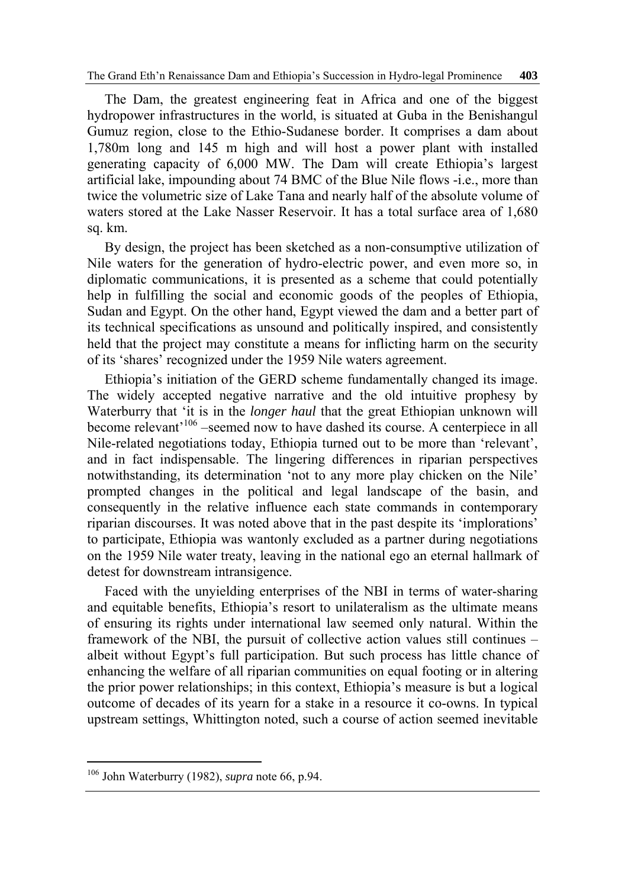The Dam, the greatest engineering feat in Africa and one of the biggest hydropower infrastructures in the world, is situated at Guba in the Benishangul Gumuz region, close to the Ethio-Sudanese border. It comprises a dam about 1,780m long and 145 m high and will host a power plant with installed generating capacity of 6,000 MW. The Dam will create Ethiopia's largest artificial lake, impounding about 74 BMC of the Blue Nile flows -i.e., more than twice the volumetric size of Lake Tana and nearly half of the absolute volume of waters stored at the Lake Nasser Reservoir. It has a total surface area of 1,680 sq. km.

By design, the project has been sketched as a non-consumptive utilization of Nile waters for the generation of hydro-electric power, and even more so, in diplomatic communications, it is presented as a scheme that could potentially help in fulfilling the social and economic goods of the peoples of Ethiopia, Sudan and Egypt. On the other hand, Egypt viewed the dam and a better part of its technical specifications as unsound and politically inspired, and consistently held that the project may constitute a means for inflicting harm on the security of its 'shares' recognized under the 1959 Nile waters agreement.

Ethiopia's initiation of the GERD scheme fundamentally changed its image. The widely accepted negative narrative and the old intuitive prophesy by Waterburry that 'it is in the *longer haul* that the great Ethiopian unknown will become relevant'106 –seemed now to have dashed its course. A centerpiece in all Nile-related negotiations today, Ethiopia turned out to be more than 'relevant', and in fact indispensable. The lingering differences in riparian perspectives notwithstanding, its determination 'not to any more play chicken on the Nile' prompted changes in the political and legal landscape of the basin, and consequently in the relative influence each state commands in contemporary riparian discourses. It was noted above that in the past despite its 'implorations' to participate, Ethiopia was wantonly excluded as a partner during negotiations on the 1959 Nile water treaty, leaving in the national ego an eternal hallmark of detest for downstream intransigence.

Faced with the unyielding enterprises of the NBI in terms of water-sharing and equitable benefits, Ethiopia's resort to unilateralism as the ultimate means of ensuring its rights under international law seemed only natural. Within the framework of the NBI, the pursuit of collective action values still continues – albeit without Egypt's full participation. But such process has little chance of enhancing the welfare of all riparian communities on equal footing or in altering the prior power relationships; in this context, Ethiopia's measure is but a logical outcome of decades of its yearn for a stake in a resource it co-owns. In typical upstream settings, Whittington noted, such a course of action seemed inevitable

<sup>106</sup> John Waterburry (1982), *supra* note 66, p.94.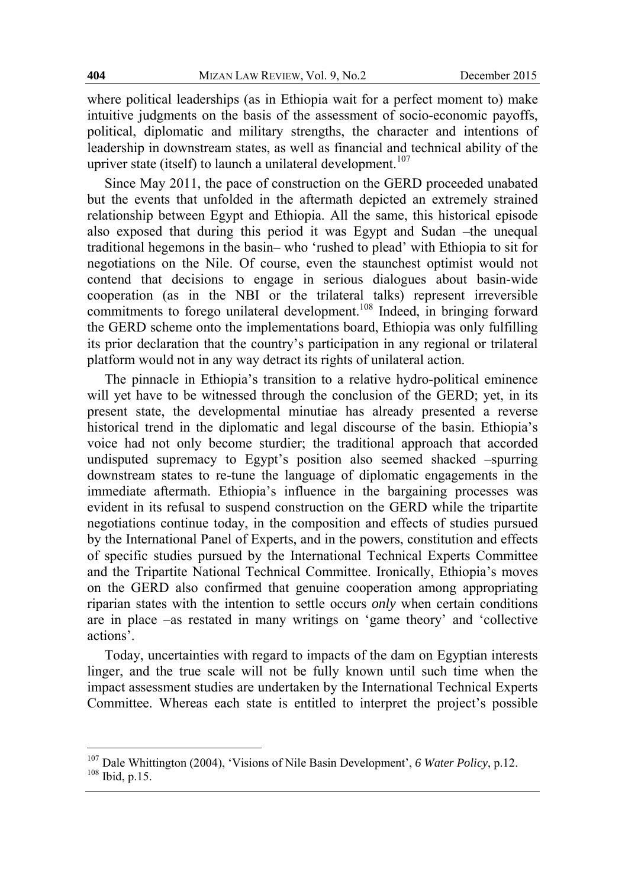where political leaderships (as in Ethiopia wait for a perfect moment to) make intuitive judgments on the basis of the assessment of socio-economic payoffs, political, diplomatic and military strengths, the character and intentions of leadership in downstream states, as well as financial and technical ability of the upriver state (itself) to launch a unilateral development.<sup>107</sup>

Since May 2011, the pace of construction on the GERD proceeded unabated but the events that unfolded in the aftermath depicted an extremely strained relationship between Egypt and Ethiopia. All the same, this historical episode also exposed that during this period it was Egypt and Sudan –the unequal traditional hegemons in the basin– who 'rushed to plead' with Ethiopia to sit for negotiations on the Nile. Of course, even the staunchest optimist would not contend that decisions to engage in serious dialogues about basin-wide cooperation (as in the NBI or the trilateral talks) represent irreversible commitments to forego unilateral development.<sup>108</sup> Indeed, in bringing forward the GERD scheme onto the implementations board, Ethiopia was only fulfilling its prior declaration that the country's participation in any regional or trilateral platform would not in any way detract its rights of unilateral action.

The pinnacle in Ethiopia's transition to a relative hydro-political eminence will yet have to be witnessed through the conclusion of the GERD; yet, in its present state, the developmental minutiae has already presented a reverse historical trend in the diplomatic and legal discourse of the basin. Ethiopia's voice had not only become sturdier; the traditional approach that accorded undisputed supremacy to Egypt's position also seemed shacked –spurring downstream states to re-tune the language of diplomatic engagements in the immediate aftermath. Ethiopia's influence in the bargaining processes was evident in its refusal to suspend construction on the GERD while the tripartite negotiations continue today, in the composition and effects of studies pursued by the International Panel of Experts, and in the powers, constitution and effects of specific studies pursued by the International Technical Experts Committee and the Tripartite National Technical Committee. Ironically, Ethiopia's moves on the GERD also confirmed that genuine cooperation among appropriating riparian states with the intention to settle occurs *only* when certain conditions are in place –as restated in many writings on 'game theory' and 'collective actions'.

Today, uncertainties with regard to impacts of the dam on Egyptian interests linger, and the true scale will not be fully known until such time when the impact assessment studies are undertaken by the International Technical Experts Committee. Whereas each state is entitled to interpret the project's possible

<u>.</u>

<sup>&</sup>lt;sup>107</sup> Dale Whittington (2004), 'Visions of Nile Basin Development', *6 Water Policy*, p.12. <sup>108</sup> Ibid, p.15.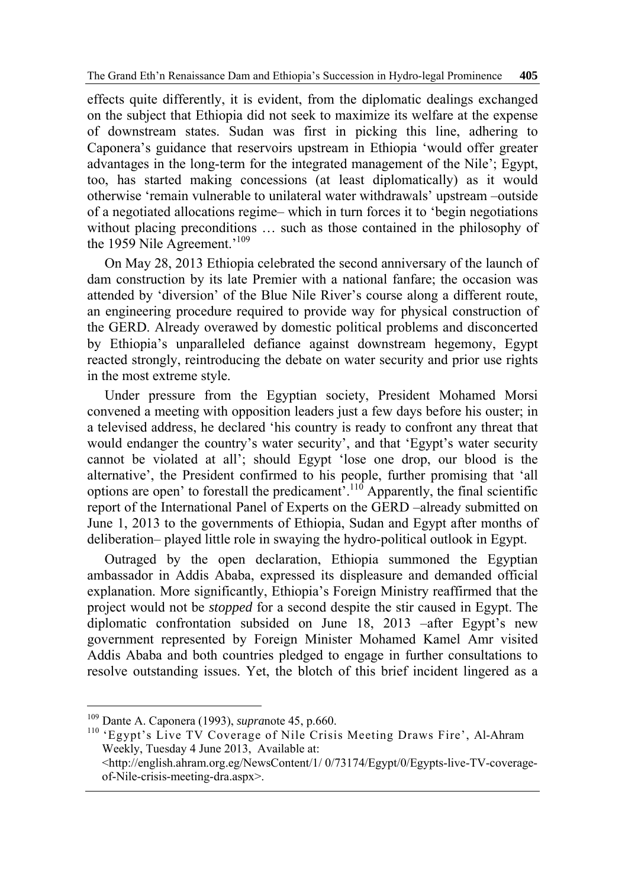effects quite differently, it is evident, from the diplomatic dealings exchanged on the subject that Ethiopia did not seek to maximize its welfare at the expense of downstream states. Sudan was first in picking this line, adhering to Caponera's guidance that reservoirs upstream in Ethiopia 'would offer greater advantages in the long-term for the integrated management of the Nile'; Egypt, too, has started making concessions (at least diplomatically) as it would otherwise 'remain vulnerable to unilateral water withdrawals' upstream –outside of a negotiated allocations regime– which in turn forces it to 'begin negotiations without placing preconditions ... such as those contained in the philosophy of the 1959 Nile Agreement.'<sup>109</sup>

On May 28, 2013 Ethiopia celebrated the second anniversary of the launch of dam construction by its late Premier with a national fanfare; the occasion was attended by 'diversion' of the Blue Nile River's course along a different route, an engineering procedure required to provide way for physical construction of the GERD. Already overawed by domestic political problems and disconcerted by Ethiopia's unparalleled defiance against downstream hegemony, Egypt reacted strongly, reintroducing the debate on water security and prior use rights in the most extreme style.

Under pressure from the Egyptian society, President Mohamed Morsi convened a meeting with opposition leaders just a few days before his ouster; in a televised address, he declared 'his country is ready to confront any threat that would endanger the country's water security', and that 'Egypt's water security cannot be violated at all'; should Egypt 'lose one drop, our blood is the alternative', the President confirmed to his people, further promising that 'all options are open' to forestall the predicament<sup> $2,110$ </sup> Apparently, the final scientific report of the International Panel of Experts on the GERD –already submitted on June 1, 2013 to the governments of Ethiopia, Sudan and Egypt after months of deliberation– played little role in swaying the hydro-political outlook in Egypt.

Outraged by the open declaration, Ethiopia summoned the Egyptian ambassador in Addis Ababa, expressed its displeasure and demanded official explanation. More significantly, Ethiopia's Foreign Ministry reaffirmed that the project would not be *stopped* for a second despite the stir caused in Egypt. The diplomatic confrontation subsided on June 18, 2013 –after Egypt's new government represented by Foreign Minister Mohamed Kamel Amr visited Addis Ababa and both countries pledged to engage in further consultations to resolve outstanding issues. Yet, the blotch of this brief incident lingered as a

<sup>&</sup>lt;sup>109</sup> Dante A. Caponera (1993), supranote 45, p.660.

<sup>&</sup>lt;sup>110</sup> 'Egypt's Live TV Coverage of Nile Crisis Meeting Draws Fire', Al-Ahram Weekly, Tuesday 4 June 2013, Available at:

<sup>&</sup>lt;http://english.ahram.org.eg/NewsContent/1/ 0/73174/Egypt/0/Egypts-live-TV-coverageof-Nile-crisis-meeting-dra.aspx>.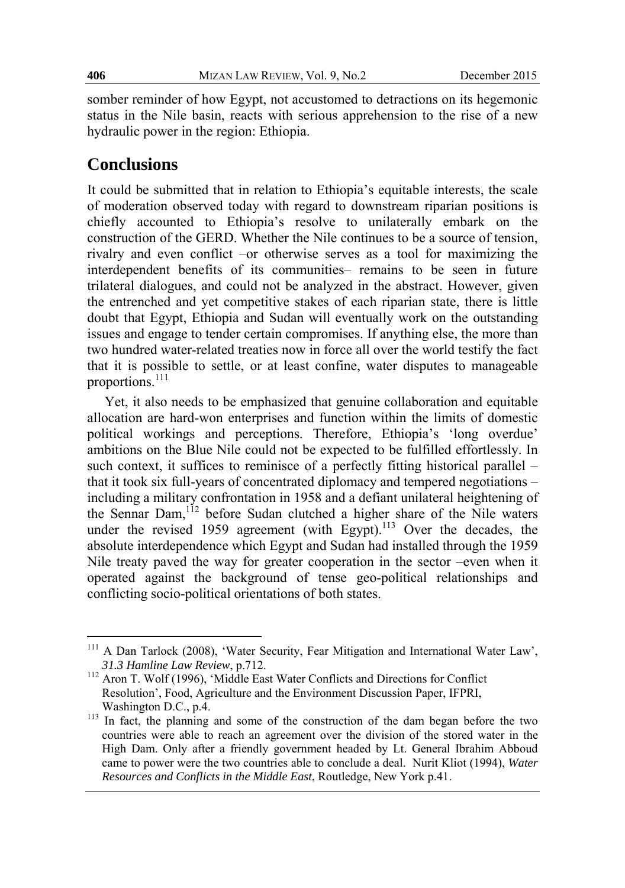somber reminder of how Egypt, not accustomed to detractions on its hegemonic status in the Nile basin, reacts with serious apprehension to the rise of a new hydraulic power in the region: Ethiopia.

#### **Conclusions**

It could be submitted that in relation to Ethiopia's equitable interests, the scale of moderation observed today with regard to downstream riparian positions is chiefly accounted to Ethiopia's resolve to unilaterally embark on the construction of the GERD. Whether the Nile continues to be a source of tension, rivalry and even conflict –or otherwise serves as a tool for maximizing the interdependent benefits of its communities– remains to be seen in future trilateral dialogues, and could not be analyzed in the abstract. However, given the entrenched and yet competitive stakes of each riparian state, there is little doubt that Egypt, Ethiopia and Sudan will eventually work on the outstanding issues and engage to tender certain compromises. If anything else, the more than two hundred water-related treaties now in force all over the world testify the fact that it is possible to settle, or at least confine, water disputes to manageable proportions.<sup>111</sup>

Yet, it also needs to be emphasized that genuine collaboration and equitable allocation are hard-won enterprises and function within the limits of domestic political workings and perceptions. Therefore, Ethiopia's 'long overdue' ambitions on the Blue Nile could not be expected to be fulfilled effortlessly. In such context, it suffices to reminisce of a perfectly fitting historical parallel – that it took six full-years of concentrated diplomacy and tempered negotiations – including a military confrontation in 1958 and a defiant unilateral heightening of the Sennar Dam,<sup>112</sup> before Sudan clutched a higher share of the Nile waters under the revised 1959 agreement (with Egypt).<sup>113</sup> Over the decades, the absolute interdependence which Egypt and Sudan had installed through the 1959 Nile treaty paved the way for greater cooperation in the sector –even when it operated against the background of tense geo-political relationships and conflicting socio-political orientations of both states.

 $111\,$ A Dan Tarlock (2008), 'Water Security, Fear Mitigation and International Water Law',

*<sup>31.3</sup> Hamline Law Review*, p.712.<br><sup>112</sup> Aron T. Wolf (1996), 'Middle East Water Conflicts and Directions for Conflict Resolution', Food, Agriculture and the Environment Discussion Paper, IFPRI,

Washington D.C., p.4. 113 In fact, the planning and some of the construction of the dam began before the two countries were able to reach an agreement over the division of the stored water in the High Dam. Only after a friendly government headed by Lt. General Ibrahim Abboud came to power were the two countries able to conclude a deal. Nurit Kliot (1994), *Water Resources and Conflicts in the Middle East*, Routledge, New York p.41.